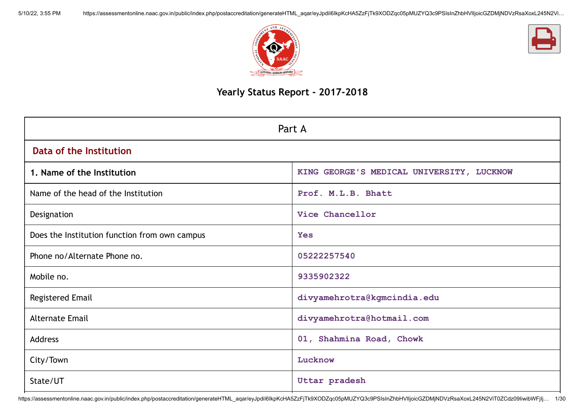



## **Yearly Status Report - 2017-2018**

| Part A                                        |                                           |  |  |  |  |
|-----------------------------------------------|-------------------------------------------|--|--|--|--|
| Data of the Institution                       |                                           |  |  |  |  |
| 1. Name of the Institution                    | KING GEORGE'S MEDICAL UNIVERSITY, LUCKNOW |  |  |  |  |
| Name of the head of the Institution           | Prof. M.L.B. Bhatt                        |  |  |  |  |
| Designation                                   | Vice Chancellor                           |  |  |  |  |
| Does the Institution function from own campus | <b>Yes</b>                                |  |  |  |  |
| Phone no/Alternate Phone no.                  | 05222257540                               |  |  |  |  |
| Mobile no.                                    | 9335902322                                |  |  |  |  |
| <b>Registered Email</b>                       | divyamehrotra@kgmcindia.edu               |  |  |  |  |
| <b>Alternate Email</b>                        | divyamehrotra@hotmail.com                 |  |  |  |  |
| <b>Address</b>                                | 01, Shahmina Road, Chowk                  |  |  |  |  |
| City/Town                                     | Lucknow                                   |  |  |  |  |
| State/UT                                      | Uttar pradesh                             |  |  |  |  |

https://assessmentonline.naac.gov.in/public/index.php/postaccreditation/generateHTML\_aqar/eyJpdiI6IkpKcHA5ZzFjTk9XODZqc05pMUZYQ3c9PSIsInZhbHVIIjoicGZDMjNDVzRsaXoxL245N2ViT0ZCdz09IiwibWFjIj… 1/30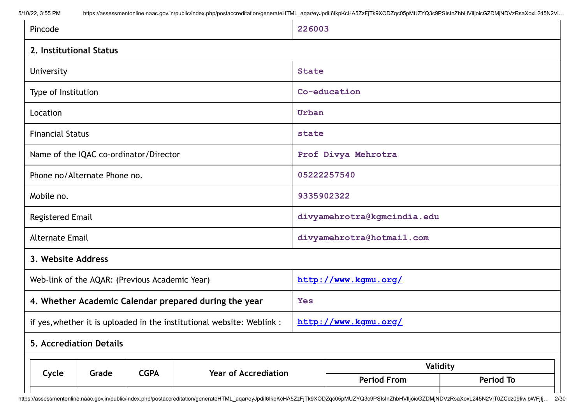| Name of the IQAC co-ordinator/Director<br>Phone no/Alternate Phone no.<br>Mobile no.<br><b>Registered Email</b><br><b>Alternate Email</b> | Prof Divya Mehrotra<br>05222257540<br>9335902322<br>divyamehrotra@kgmcindia.edu |  |  |  |  |  |
|-------------------------------------------------------------------------------------------------------------------------------------------|---------------------------------------------------------------------------------|--|--|--|--|--|
|                                                                                                                                           |                                                                                 |  |  |  |  |  |
|                                                                                                                                           |                                                                                 |  |  |  |  |  |
|                                                                                                                                           |                                                                                 |  |  |  |  |  |
|                                                                                                                                           |                                                                                 |  |  |  |  |  |
|                                                                                                                                           | divyamehrotra@hotmail.com                                                       |  |  |  |  |  |
| 3. Website Address                                                                                                                        |                                                                                 |  |  |  |  |  |
| Web-link of the AQAR: (Previous Academic Year)                                                                                            | http://www.kgmu.org/                                                            |  |  |  |  |  |
| 4. Whether Academic Calendar prepared during the year                                                                                     | <b>Yes</b>                                                                      |  |  |  |  |  |
| if yes, whether it is uploaded in the institutional website: Weblink :                                                                    | http://www.kgmu.org/                                                            |  |  |  |  |  |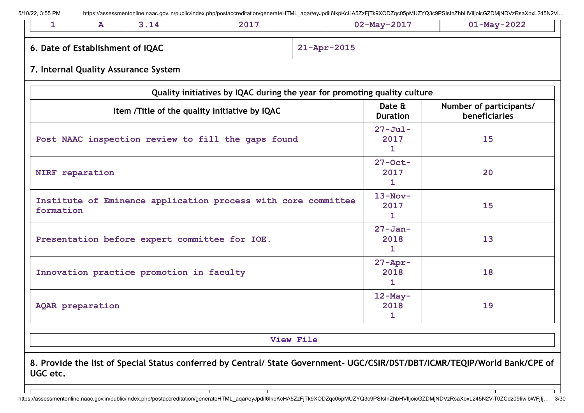|           | 6. Date of Establishment of IQAC |                                                               |                                                                           | 21-Apr-2015               |                               |                                          |  |  |  |
|-----------|----------------------------------|---------------------------------------------------------------|---------------------------------------------------------------------------|---------------------------|-------------------------------|------------------------------------------|--|--|--|
|           |                                  | 7. Internal Quality Assurance System                          |                                                                           |                           |                               |                                          |  |  |  |
|           |                                  |                                                               | Quality initiatives by IQAC during the year for promoting quality culture |                           |                               |                                          |  |  |  |
|           |                                  |                                                               | Item /Title of the quality initiative by IQAC                             |                           | Date &<br><b>Duration</b>     | Number of participants/<br>beneficiaries |  |  |  |
|           |                                  | Post NAAC inspection review to fill the gaps found            | $27 - \text{Jul}$ -<br>2017<br>1                                          | 15                        |                               |                                          |  |  |  |
|           | NIRF reparation                  |                                                               | $27$ -Oct-<br>2017<br>1                                                   | 20                        |                               |                                          |  |  |  |
| formation |                                  | Institute of Eminence application process with core committee | $13-Nov-$<br>2017<br>1                                                    | 15                        |                               |                                          |  |  |  |
|           |                                  | Presentation before expert committee for IOE.                 | $27 - Jan-$<br>2018<br>1                                                  | 13                        |                               |                                          |  |  |  |
|           |                                  | Innovation practice promotion in faculty                      |                                                                           | $27 - Appr-$<br>2018<br>1 | 18                            |                                          |  |  |  |
|           | AQAR preparation                 |                                                               |                                                                           |                           | $12$ -May-<br>19<br>2018<br>1 |                                          |  |  |  |
|           |                                  |                                                               |                                                                           | <b>View File</b>          |                               |                                          |  |  |  |

https://assessmentonline.naac.gov.in/public/index.php/postaccreditation/generateHTML\_aqar/eyJpdiI6IkpKcHA5ZzFjTk9XODZqc05pMUZYQ3c9PSIsInZhbHVIIjoicGZDMjNDVzRsaXoxL245N2ViT0ZCdz09IiwibWFjIj… 3/30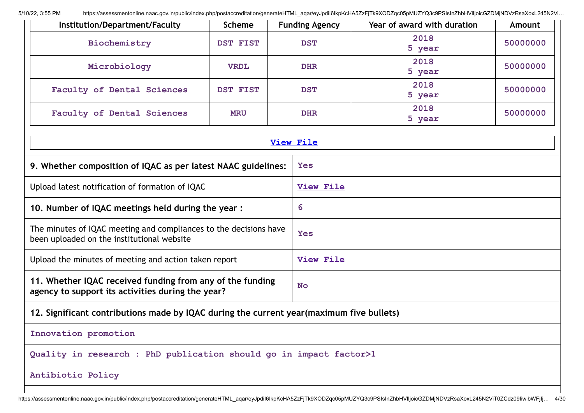| Institution/Department/Faculty                                                                                  | <b>Scheme</b>   | <b>Funding Agency</b> | Year of award with duration | Amount   |  |  |  |
|-----------------------------------------------------------------------------------------------------------------|-----------------|-----------------------|-----------------------------|----------|--|--|--|
| Biochemistry                                                                                                    | <b>DST FIST</b> | <b>DST</b>            | 2018<br>5 year              | 50000000 |  |  |  |
| Microbiology                                                                                                    | <b>VRDL</b>     | <b>DHR</b>            | 2018<br>5 year              | 50000000 |  |  |  |
| Faculty of Dental Sciences                                                                                      | <b>DST FIST</b> | <b>DST</b>            | 2018<br>5 year              | 50000000 |  |  |  |
| Faculty of Dental Sciences                                                                                      | <b>MRU</b>      | <b>DHR</b>            | 2018<br>5 year              | 50000000 |  |  |  |
|                                                                                                                 |                 | <b>View File</b>      |                             |          |  |  |  |
| 9. Whether composition of IQAC as per latest NAAC guidelines:                                                   |                 | Yes                   |                             |          |  |  |  |
| Upload latest notification of formation of IQAC                                                                 |                 | <b>View File</b>      |                             |          |  |  |  |
| 10. Number of IQAC meetings held during the year :                                                              | 6               |                       |                             |          |  |  |  |
| The minutes of IQAC meeting and compliances to the decisions have<br>been uploaded on the institutional website | <b>Yes</b>      |                       |                             |          |  |  |  |
| Upload the minutes of meeting and action taken report                                                           |                 | <b>View File</b>      |                             |          |  |  |  |
| 11. Whether IQAC received funding from any of the funding<br>agency to support its activities during the year?  |                 | <b>No</b>             |                             |          |  |  |  |
| 12. Significant contributions made by IQAC during the current year(maximum five bullets)                        |                 |                       |                             |          |  |  |  |
| Innovation promotion                                                                                            |                 |                       |                             |          |  |  |  |
| Quality in research : PhD publication should go in impact factor>1                                              |                 |                       |                             |          |  |  |  |
| Antibiotic Policy                                                                                               |                 |                       |                             |          |  |  |  |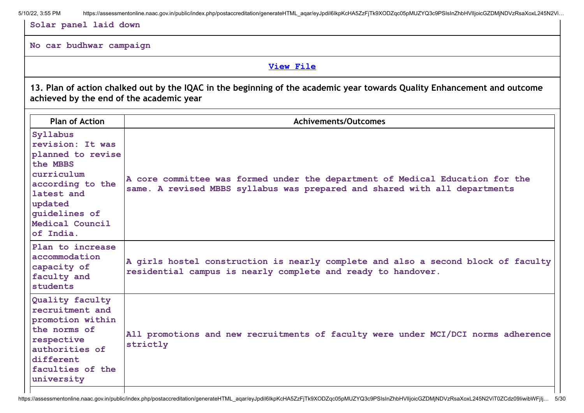**Solar panel laid down**

#### **No car budhwar campaign**

**View [File](https://assessmentonline.naac.gov.in/public/Postacc/Contribution/3301_Contribution.xlsx)**

13. Plan of action chalked out by the IQAC in the beginning of the academic year towards Quality Enhancement and outcome **achieved by the end of the academic year**

| <b>Plan of Action</b>                                                                                                                                                     | <b>Achivements/Outcomes</b>                                                                                                                                 |
|---------------------------------------------------------------------------------------------------------------------------------------------------------------------------|-------------------------------------------------------------------------------------------------------------------------------------------------------------|
| Syllabus<br>revision: It was<br>planned to revise<br>the MBBS<br>curriculum<br>according to the<br>latest and<br>updated<br>quidelines of<br>Medical Council<br>of India. | A core committee was formed under the department of Medical Education for the<br>same. A revised MBBS syllabus was prepared and shared with all departments |
| Plan to increase<br>accommodation<br>capacity of<br>faculty and<br>students                                                                                               | A girls hostel construction is nearly complete and also a second block of faculty<br>residential campus is nearly complete and ready to handover.           |
| Quality faculty<br>recruitment and<br>promotion within<br>the norms of<br>respective<br>authorities of<br>different<br>faculties of the<br>university                     | All promotions and new recruitments of faculty were under MCI/DCI norms adherence<br>strictly                                                               |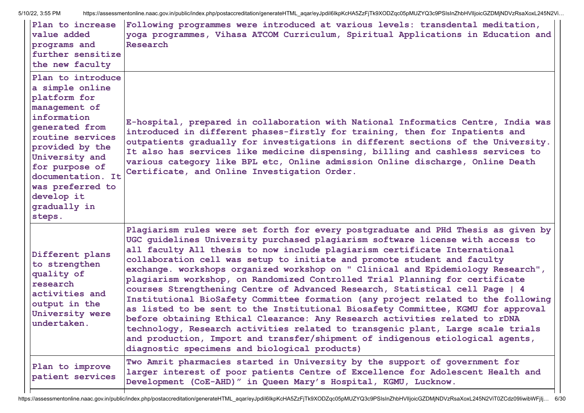| Plan to increase<br>value added<br>programs and<br>further sensitize<br>the new faculty                                                                                                                                                                            | Following programmes were introduced at various levels: transdental meditation,<br>yoga programmes, Vihasa ATCOM Curriculum, Spiritual Applications in Education and<br>Research                                                                                                                                                                                                                                                                                                                                                                                                                                                                                                                                                                                                                                                                                                                                                                                                                                                                                |
|--------------------------------------------------------------------------------------------------------------------------------------------------------------------------------------------------------------------------------------------------------------------|-----------------------------------------------------------------------------------------------------------------------------------------------------------------------------------------------------------------------------------------------------------------------------------------------------------------------------------------------------------------------------------------------------------------------------------------------------------------------------------------------------------------------------------------------------------------------------------------------------------------------------------------------------------------------------------------------------------------------------------------------------------------------------------------------------------------------------------------------------------------------------------------------------------------------------------------------------------------------------------------------------------------------------------------------------------------|
| Plan to introduce<br>a simple online<br>platform for<br>management of<br>information<br>generated from<br>routine services<br>provided by the<br>University and<br>for purpose of<br>documentation. It<br>was preferred to<br>develop it<br>gradually in<br>steps. | E-hospital, prepared in collaboration with National Informatics Centre, India was<br>introduced in different phases-firstly for training, then for Inpatients and<br>outpatients gradually for investigations in different sections of the University.<br>It also has services like medicine dispensing, billing and cashless services to<br>various category like BPL etc, Online admission Online discharge, Online Death<br>Certificate, and Online Investigation Order.                                                                                                                                                                                                                                                                                                                                                                                                                                                                                                                                                                                     |
| Different plans<br>to strengthen<br>quality of<br>research<br>activities and<br>output in the<br>University were<br>undertaken.                                                                                                                                    | Plagiarism rules were set forth for every postgraduate and PHd Thesis as given by<br>UGC guidelines University purchased plagiarism software license with access to<br>all faculty All thesis to now include plagiarism certificate International<br>collaboration cell was setup to initiate and promote student and faculty<br>exchange. workshops organized workshop on " Clinical and Epidemiology Research",<br>plagiarism workshop, on Randomized Controlled Trial Planning for certificate<br>courses Strengthening Centre of Advanced Research, Statistical cell Page   4<br>Institutional BioSafety Committee formation (any project related to the following<br>as listed to be sent to the Institutional Biosafety Committee, KGMU for approval<br>before obtaining Ethical Clearance: Any Research activities related to rDNA<br>technology, Research activities related to transgenic plant, Large scale trials<br>and production, Import and transfer/shipment of indigenous etiological agents,<br>diagnostic specimens and biological products) |
| Plan to improve<br>patient services                                                                                                                                                                                                                                | Two Amrit pharmacies started in University by the support of government for<br>larger interest of poor patients Centre of Excellence for Adolescent Health and<br>Development (CoE-AHD)" in Queen Mary's Hospital, KGMU, Lucknow.                                                                                                                                                                                                                                                                                                                                                                                                                                                                                                                                                                                                                                                                                                                                                                                                                               |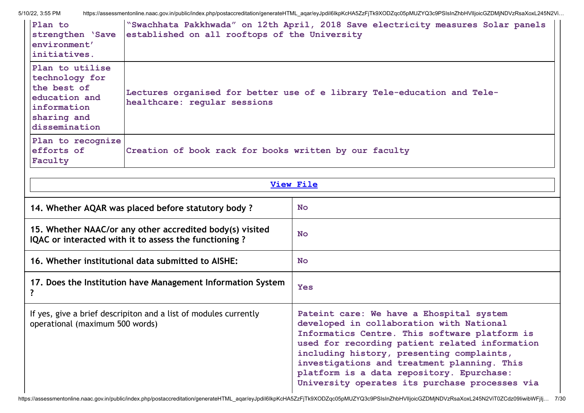| Plan to<br>strengthen 'Save<br>environment'<br>initiatives.                                                      | established on all rooftops of the University                                                                     | "Swachhata Pakkhwada" on 12th April, 2018 Save electricity measures Solar panels                                                                                                                                                                                                                                                                                                   |  |  |  |  |  |
|------------------------------------------------------------------------------------------------------------------|-------------------------------------------------------------------------------------------------------------------|------------------------------------------------------------------------------------------------------------------------------------------------------------------------------------------------------------------------------------------------------------------------------------------------------------------------------------------------------------------------------------|--|--|--|--|--|
| Plan to utilise<br>technology for<br>the best of<br>education and<br>information<br>sharing and<br>dissemination | Lectures organised for better use of e library Tele-education and Tele-<br>healthcare: regular sessions           |                                                                                                                                                                                                                                                                                                                                                                                    |  |  |  |  |  |
| Plan to recognize<br>efforts of<br>Faculty                                                                       | Creation of book rack for books written by our faculty                                                            |                                                                                                                                                                                                                                                                                                                                                                                    |  |  |  |  |  |
| <b>View File</b>                                                                                                 |                                                                                                                   |                                                                                                                                                                                                                                                                                                                                                                                    |  |  |  |  |  |
|                                                                                                                  | 14. Whether AQAR was placed before statutory body?                                                                | <b>No</b>                                                                                                                                                                                                                                                                                                                                                                          |  |  |  |  |  |
|                                                                                                                  | 15. Whether NAAC/or any other accredited body(s) visited<br>IQAC or interacted with it to assess the functioning? | <b>No</b>                                                                                                                                                                                                                                                                                                                                                                          |  |  |  |  |  |
|                                                                                                                  | 16. Whether institutional data submitted to AISHE:                                                                | No.                                                                                                                                                                                                                                                                                                                                                                                |  |  |  |  |  |
| ?                                                                                                                | 17. Does the Institution have Management Information System                                                       | <b>Yes</b>                                                                                                                                                                                                                                                                                                                                                                         |  |  |  |  |  |
| operational (maximum 500 words)                                                                                  | If yes, give a brief descripiton and a list of modules currently                                                  | Pateint care: We have a Ehospital system<br>developed in collaboration with National<br>Informatics Centre. This software platform is<br>used for recording patient related information<br>including history, presenting complaints,<br>investigations and treatment planning. This<br>platform is a data repository. Epurchase:<br>University operates its purchase processes via |  |  |  |  |  |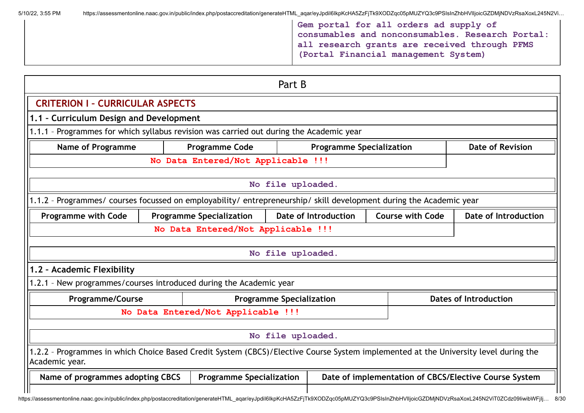| 5/10/22, 3:55 PM | https://assessmentonline.naac.gov.in/public/index.php/postaccreditation/generateHTML_aqar/eyJpdil6lkpKcHA5ZzFjTk9XODZqc05pMUZYQ3c9PSIsInZhbHVlIjoicGZDMjNDVzRsaXoxL245N2Vi |  |
|------------------|----------------------------------------------------------------------------------------------------------------------------------------------------------------------------|--|
|                  |                                                                                                                                                                            |  |
|                  |                                                                                                                                                                            |  |
|                  |                                                                                                                                                                            |  |

**Gem portal for all orders ad supply of consumables and nonconsumables. Research Portal: all research grants are received through PFMS (Portal Financial management System)**

# Part B **CRITERION I – CURRICULAR ASPECTS 1.1 – Curriculum Design and Development** 1.1.1 – Programmes for which syllabus revision was carried out during the Academic year **Name of Programme Programme Code Programme Specialization Programme Specialization No Data Entered/Not Applicable !!! No file uploaded.** 1.1.2 – Programmes/ courses focussed on employability/ entrepreneurship/ skill development during the Academic year **Programme with Code Programme Specialization Date of Introduction Course with Code Date of Introduction No Data Entered/Not Applicable !!! No file uploaded. 1.2 – Academic Flexibility** 1.2.1 – New programmes/courses introduced during the Academic year **Programme/Course Programme Specialization Programme Specialization No Data Entered/Not Applicable !!! No file uploaded.** 1.2.2 – Programmes in which Choice Based Credit System (CBCS)/Elective Course System implemented at the University level during the Academic year. **Name of programmes adopting CBCS Programme Specialization Date of implementation of CBCS/Elective Course System**

https://assessmentonline.naac.gov.in/public/index.php/postaccreditation/generateHTML\_aqar/eyJpdiI6IkpKcHA5ZzFjTk9XODZqc05pMUZYQ3c9PSIsInZhbHVIIjoicGZDMjNDVzRsaXoxL245N2ViT0ZCdz09IiwibWFilj... 8/30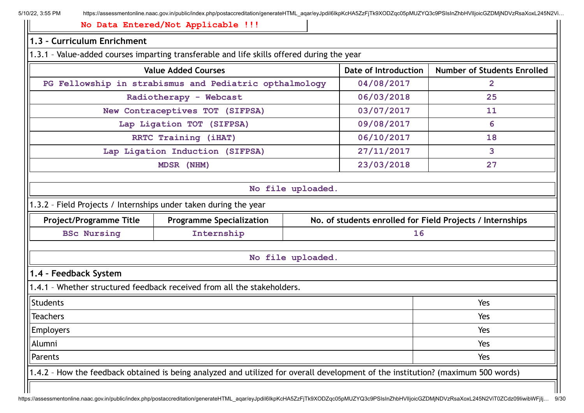**No Data Entered/Not Applicable !!!**

# **1.3 – Curriculum Enrichment** 1.3.1 – Value-added courses imparting transferable and life skills offered during the year **Value Added Courses Date of Introduction Number of Students Enrolled PG Fellowship in strabismus and Pediatric opthalmology 04/08/2017 2 Radiotherapy - Webcast 06/03/2018 25 New Contraceptives TOT (SIFPSA) 03/07/2017 11 Lap Ligation TOT (SIFPSA) 09/08/2017 6 RRTC Training (iHAT) 06/10/2017 18 Lap Ligation Induction (SIFPSA) 27/11/2017 3 MDSR (NHM) 23/03/2018 27 No file uploaded.** 1.3.2 – Field Projects / Internships under taken during the year **Project/Programme Title Programme Specialization No. of students enrolled for Field Projects / Internships BSc Nursing Internship 16 No file uploaded. 1.4 – Feedback System** 1.4.1 – Whether structured feedback received from all the stakeholders. Students and the students of the students of the students of the students of the students of the students of the students of the students of the students of the students of the students of the students of the students of t Teachers Yes Employers Yes Alumni Yes Parents and the set of the set of the set of the set of the set of the set of the set of the set of the Set of the Set of the Set of the Set of the Set of the Set of the Set of the Set of the Set of the Set of the Set of t 1.4.2 – How the feedback obtained is being analyzed and utilized for overall development of the institution? (maximum 500 words)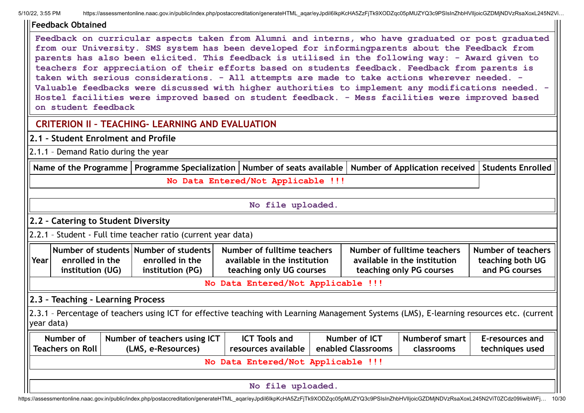| llFeedback Obtained                                                                                                                                                                                                                                                                                                                                                                                                                                                                                                                                                                                                                                                                                                                            |                                                                                                                                            |                                                                                         |  |                    |                                                                                         |                                                          |  |  |
|------------------------------------------------------------------------------------------------------------------------------------------------------------------------------------------------------------------------------------------------------------------------------------------------------------------------------------------------------------------------------------------------------------------------------------------------------------------------------------------------------------------------------------------------------------------------------------------------------------------------------------------------------------------------------------------------------------------------------------------------|--------------------------------------------------------------------------------------------------------------------------------------------|-----------------------------------------------------------------------------------------|--|--------------------|-----------------------------------------------------------------------------------------|----------------------------------------------------------|--|--|
| Feedback on curricular aspects taken from Alumni and interns, who have graduated or post graduated<br>from our University. SMS system has been developed for informingparents about the Feedback from<br>parents has also been elicited. This feedback is utilised in the following way: - Award given to<br>teachers for appreciation of their efforts based on students feedback. Feedback from parents is<br>taken with serious considerations. - All attempts are made to take actions wherever needed. -<br>Valuable feedbacks were discussed with higher authorities to implement any modifications needed. -<br>Hostel facilities were improved based on student feedback. - Mess facilities were improved based<br>on student feedback |                                                                                                                                            |                                                                                         |  |                    |                                                                                         |                                                          |  |  |
|                                                                                                                                                                                                                                                                                                                                                                                                                                                                                                                                                                                                                                                                                                                                                | <b>CRITERION II - TEACHING- LEARNING AND EVALUATION</b>                                                                                    |                                                                                         |  |                    |                                                                                         |                                                          |  |  |
|                                                                                                                                                                                                                                                                                                                                                                                                                                                                                                                                                                                                                                                                                                                                                | 2.1 - Student Enrolment and Profile                                                                                                        |                                                                                         |  |                    |                                                                                         |                                                          |  |  |
| 2.1.1 - Demand Ratio during the year                                                                                                                                                                                                                                                                                                                                                                                                                                                                                                                                                                                                                                                                                                           |                                                                                                                                            |                                                                                         |  |                    |                                                                                         |                                                          |  |  |
|                                                                                                                                                                                                                                                                                                                                                                                                                                                                                                                                                                                                                                                                                                                                                | Name of the Programme   Programme Specialization   Number of seats available                                                               |                                                                                         |  |                    | Number of Application received                                                          | <b>Students Enrolled</b>                                 |  |  |
| No Data Entered/Not Applicable !!!                                                                                                                                                                                                                                                                                                                                                                                                                                                                                                                                                                                                                                                                                                             |                                                                                                                                            |                                                                                         |  |                    |                                                                                         |                                                          |  |  |
|                                                                                                                                                                                                                                                                                                                                                                                                                                                                                                                                                                                                                                                                                                                                                |                                                                                                                                            |                                                                                         |  |                    |                                                                                         |                                                          |  |  |
|                                                                                                                                                                                                                                                                                                                                                                                                                                                                                                                                                                                                                                                                                                                                                |                                                                                                                                            | No file uploaded.                                                                       |  |                    |                                                                                         |                                                          |  |  |
| 2.2 - Catering to Student Diversity                                                                                                                                                                                                                                                                                                                                                                                                                                                                                                                                                                                                                                                                                                            |                                                                                                                                            |                                                                                         |  |                    |                                                                                         |                                                          |  |  |
|                                                                                                                                                                                                                                                                                                                                                                                                                                                                                                                                                                                                                                                                                                                                                | 2.2.1 - Student - Full time teacher ratio (current year data)                                                                              |                                                                                         |  |                    |                                                                                         |                                                          |  |  |
| enrolled in the<br>Year<br>institution (UG)                                                                                                                                                                                                                                                                                                                                                                                                                                                                                                                                                                                                                                                                                                    | Number of students Number of students<br>enrolled in the<br>institution (PG)                                                               | Number of fulltime teachers<br>available in the institution<br>teaching only UG courses |  |                    | Number of fulltime teachers<br>available in the institution<br>teaching only PG courses | Number of teachers<br>teaching both UG<br>and PG courses |  |  |
|                                                                                                                                                                                                                                                                                                                                                                                                                                                                                                                                                                                                                                                                                                                                                |                                                                                                                                            | No Data Entered/Not Applicable !!!                                                      |  |                    |                                                                                         |                                                          |  |  |
| 2.3 - Teaching - Learning Process                                                                                                                                                                                                                                                                                                                                                                                                                                                                                                                                                                                                                                                                                                              |                                                                                                                                            |                                                                                         |  |                    |                                                                                         |                                                          |  |  |
| year data)                                                                                                                                                                                                                                                                                                                                                                                                                                                                                                                                                                                                                                                                                                                                     | 2.3.1 - Percentage of teachers using ICT for effective teaching with Learning Management Systems (LMS), E-learning resources etc. (current |                                                                                         |  |                    |                                                                                         |                                                          |  |  |
| Number of                                                                                                                                                                                                                                                                                                                                                                                                                                                                                                                                                                                                                                                                                                                                      | Number of teachers using ICT                                                                                                               | <b>ICT Tools and</b>                                                                    |  | Number of ICT      | <b>Numberof smart</b>                                                                   | E-resources and                                          |  |  |
| <b>Teachers on Roll</b>                                                                                                                                                                                                                                                                                                                                                                                                                                                                                                                                                                                                                                                                                                                        | (LMS, e-Resources)                                                                                                                         | resources available                                                                     |  | enabled Classrooms | classrooms                                                                              | techniques used                                          |  |  |
|                                                                                                                                                                                                                                                                                                                                                                                                                                                                                                                                                                                                                                                                                                                                                |                                                                                                                                            | No Data Entered/Not Applicable !!!                                                      |  |                    |                                                                                         |                                                          |  |  |
|                                                                                                                                                                                                                                                                                                                                                                                                                                                                                                                                                                                                                                                                                                                                                |                                                                                                                                            |                                                                                         |  |                    |                                                                                         |                                                          |  |  |
|                                                                                                                                                                                                                                                                                                                                                                                                                                                                                                                                                                                                                                                                                                                                                |                                                                                                                                            | No file uploaded.                                                                       |  |                    |                                                                                         |                                                          |  |  |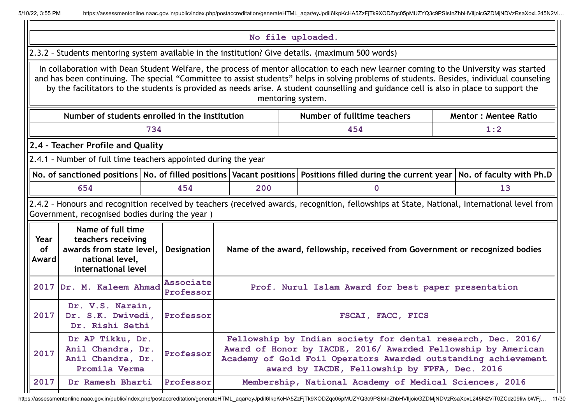| No file uploaded.                                                                                                                                                                                                                                                                                                                                                                                                                                  |                               |                                                                              |  |                                                                                                                                                                                                                                                  |  |     |  |  |  |  |
|----------------------------------------------------------------------------------------------------------------------------------------------------------------------------------------------------------------------------------------------------------------------------------------------------------------------------------------------------------------------------------------------------------------------------------------------------|-------------------------------|------------------------------------------------------------------------------|--|--------------------------------------------------------------------------------------------------------------------------------------------------------------------------------------------------------------------------------------------------|--|-----|--|--|--|--|
| 2.3.2 - Students mentoring system available in the institution? Give details. (maximum 500 words)                                                                                                                                                                                                                                                                                                                                                  |                               |                                                                              |  |                                                                                                                                                                                                                                                  |  |     |  |  |  |  |
| In collaboration with Dean Student Welfare, the process of mentor allocation to each new learner coming to the University was started<br>and has been continuing. The special "Committee to assist students" helps in solving problems of students. Besides, individual counseling<br>by the facilitators to the students is provided as needs arise. A student counselling and guidance cell is also in place to support the<br>mentoring system. |                               |                                                                              |  |                                                                                                                                                                                                                                                  |  |     |  |  |  |  |
| Number of students enrolled in the institution<br>Number of fulltime teachers<br><b>Mentor: Mentee Ratio</b>                                                                                                                                                                                                                                                                                                                                       |                               |                                                                              |  |                                                                                                                                                                                                                                                  |  |     |  |  |  |  |
| 734<br>454                                                                                                                                                                                                                                                                                                                                                                                                                                         |                               |                                                                              |  |                                                                                                                                                                                                                                                  |  | 1:2 |  |  |  |  |
| 2.4 - Teacher Profile and Quality                                                                                                                                                                                                                                                                                                                                                                                                                  |                               |                                                                              |  |                                                                                                                                                                                                                                                  |  |     |  |  |  |  |
| 2.4.1 - Number of full time teachers appointed during the year                                                                                                                                                                                                                                                                                                                                                                                     |                               |                                                                              |  |                                                                                                                                                                                                                                                  |  |     |  |  |  |  |
| No. of sanctioned positions No. of filled positions Vacant positions<br>Positions filled during the current year   No. of faculty with Ph.D                                                                                                                                                                                                                                                                                                        |                               |                                                                              |  |                                                                                                                                                                                                                                                  |  |     |  |  |  |  |
| 654<br>454<br>200<br>$\mathbf{0}$                                                                                                                                                                                                                                                                                                                                                                                                                  |                               |                                                                              |  |                                                                                                                                                                                                                                                  |  | 13  |  |  |  |  |
| 2.4.2 - Honours and recognition received by teachers (received awards, recognition, fellowships at State, National, International level from<br>Government, recognised bodies during the year)                                                                                                                                                                                                                                                     |                               |                                                                              |  |                                                                                                                                                                                                                                                  |  |     |  |  |  |  |
| Name of full time<br>teachers receiving<br>Year<br>awards from state level,<br><b>of</b><br>national level,<br>Award<br>international level                                                                                                                                                                                                                                                                                                        | Designation                   | Name of the award, fellowship, received from Government or recognized bodies |  |                                                                                                                                                                                                                                                  |  |     |  |  |  |  |
| 2017 Dr. M. Kaleem Ahmad                                                                                                                                                                                                                                                                                                                                                                                                                           | <b>Associate</b><br>Professor |                                                                              |  | Prof. Nurul Islam Award for best paper presentation                                                                                                                                                                                              |  |     |  |  |  |  |
| Dr. V.S. Narain,<br>2017<br>Dr. S.K. Dwivedi,<br>Dr. Rishi Sethi                                                                                                                                                                                                                                                                                                                                                                                   | Professor                     | FSCAI, FACC, FICS                                                            |  |                                                                                                                                                                                                                                                  |  |     |  |  |  |  |
| Dr AP Tikku, Dr.<br>Anil Chandra, Dr.<br>2017<br>Anil Chandra, Dr.<br>Promila Verma                                                                                                                                                                                                                                                                                                                                                                | Professor                     |                                                                              |  | Fellowship by Indian society for dental research, Dec. 2016/<br>Award of Honor by IACDE, 2016/ Awarded Fellowship by American<br>Academy of Gold Foil Operators Awarded outstanding achievement<br>award by IACDE, Fellowship by FPFA, Dec. 2016 |  |     |  |  |  |  |
| 2017<br>Dr Ramesh Bharti                                                                                                                                                                                                                                                                                                                                                                                                                           | Professor                     |                                                                              |  | Membership, National Academy of Medical Sciences, 2016                                                                                                                                                                                           |  |     |  |  |  |  |

https://assessmentonline.naac.gov.in/public/index.php/postaccreditation/generateHTML\_aqar/eyJpdiI6IkpKcHA5ZzFjTk9XODZqc05pMUZYQ3c9PSIsInZhbHVIIjoicGZDMjNDVzRsaXoxL245N2ViT0ZCdz09IiwibWFj... 11/30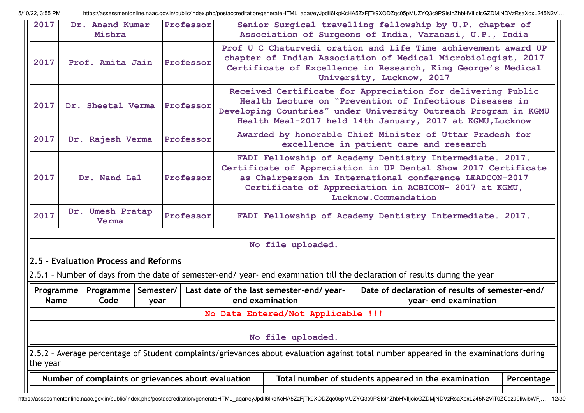| 2017                     | Dr. Anand Kumar<br>Mishra                           |                   | Professor | Senior Surgical travelling fellowship by U.P. chapter of<br>Association of Surgeons of India, Varanasi, U.P., India                                                                                                          |                                                                                                                                                                                                                                                                        |            |  |  |  |
|--------------------------|-----------------------------------------------------|-------------------|-----------|------------------------------------------------------------------------------------------------------------------------------------------------------------------------------------------------------------------------------|------------------------------------------------------------------------------------------------------------------------------------------------------------------------------------------------------------------------------------------------------------------------|------------|--|--|--|
| 2017                     | Prof. Amita Jain                                    |                   | Professor | Prof U C Chaturvedi oration and Life Time achievement award UP<br>chapter of Indian Association of Medical Microbiologist, 2017<br>Certificate of Excellence in Research, King George's Medical<br>University, Lucknow, 2017 |                                                                                                                                                                                                                                                                        |            |  |  |  |
| 2017                     | Dr. Sheetal Verma                                   |                   | Professor |                                                                                                                                                                                                                              | Received Certificate for Appreciation for delivering Public<br>Health Lecture on "Prevention of Infectious Diseases in<br>Developing Countries" under University Outreach Program in KGMU<br>Health Meal-2017 held 14th January, 2017 at KGMU, Lucknow                 |            |  |  |  |
| 2017                     | Dr. Rajesh Verma                                    |                   | Professor |                                                                                                                                                                                                                              | Awarded by honorable Chief Minister of Uttar Pradesh for<br>excellence in patient care and research                                                                                                                                                                    |            |  |  |  |
| 2017                     | Dr. Nand Lal                                        |                   | Professor |                                                                                                                                                                                                                              | FADI Fellowship of Academy Dentistry Intermediate. 2017.<br>Certificate of Appreciation in UP Dental Show 2017 Certificate<br>as Chairperson in International conference LEADCON-2017<br>Certificate of Appreciation in ACBICON- 2017 at KGMU,<br>Lucknow.Commendation |            |  |  |  |
| 2017                     | Dr. Umesh Pratap<br>Verma                           |                   | Professor |                                                                                                                                                                                                                              | FADI Fellowship of Academy Dentistry Intermediate. 2017.                                                                                                                                                                                                               |            |  |  |  |
|                          |                                                     |                   |           | No file uploaded.                                                                                                                                                                                                            |                                                                                                                                                                                                                                                                        |            |  |  |  |
|                          | 2.5 - Evaluation Process and Reforms                |                   |           |                                                                                                                                                                                                                              |                                                                                                                                                                                                                                                                        |            |  |  |  |
|                          |                                                     |                   |           |                                                                                                                                                                                                                              | 2.5.1 - Number of days from the date of semester-end/ year- end examination till the declaration of results during the year                                                                                                                                            |            |  |  |  |
| Programme<br><b>Name</b> | Programme<br>Code                                   | Semester/<br>year |           | Last date of the last semester-end/ year-<br>Date of declaration of results of semester-end/<br>end examination<br>year- end examination                                                                                     |                                                                                                                                                                                                                                                                        |            |  |  |  |
|                          |                                                     |                   |           | No Data Entered/Not Applicable !!!                                                                                                                                                                                           |                                                                                                                                                                                                                                                                        |            |  |  |  |
|                          |                                                     |                   |           | No file uploaded.                                                                                                                                                                                                            |                                                                                                                                                                                                                                                                        |            |  |  |  |
| the year                 |                                                     |                   |           |                                                                                                                                                                                                                              | 2.5.2 - Average percentage of Student complaints/grievances about evaluation against total number appeared in the examinations during                                                                                                                                  |            |  |  |  |
|                          | Number of complaints or grievances about evaluation |                   |           |                                                                                                                                                                                                                              | Total number of students appeared in the examination                                                                                                                                                                                                                   | Percentage |  |  |  |
|                          |                                                     |                   |           |                                                                                                                                                                                                                              | https://assessmentonline.naac.gov.in/public/index.php/postaccreditation/generateHTML_aqar/eyJpdil6lkpKcHA5ZzFjTk9XODZqc05pMUZYQ3c9PSIsInZhbHVIIjoicGZDMjNDVzRsaXoxL245N2ViT0ZCdz09liwibWFj 12/30                                                                       |            |  |  |  |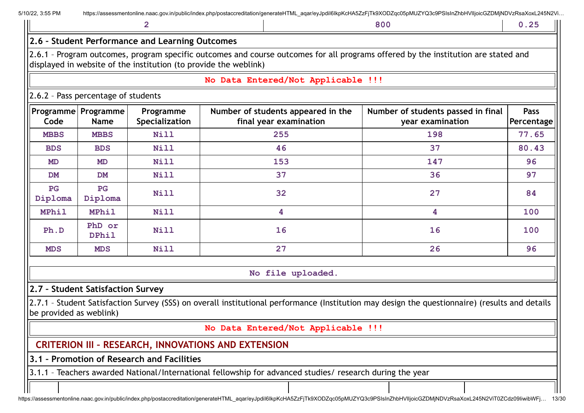| 5/10/22, 3:55 PM                                |  | https://assessmentonline.naac.gov.in/public/index.php/postaccreditation/generateHTML_aqar/eyJpdil6lkpKcHA5ZzFjTk9XODZqc05pMUZYQ3c9PSIsInZhbHVIIjoicGZDMjNDVzRsaXoxL245N2Vi |  |  |     |  |  |  |  |  |  |
|-------------------------------------------------|--|----------------------------------------------------------------------------------------------------------------------------------------------------------------------------|--|--|-----|--|--|--|--|--|--|
|                                                 |  |                                                                                                                                                                            |  |  | 800 |  |  |  |  |  |  |
| 2.6 - Student Performance and Learning Outcomes |  |                                                                                                                                                                            |  |  |     |  |  |  |  |  |  |
| $\mathbf{1}$ $\mathbf{2}$                       |  |                                                                                                                                                                            |  |  |     |  |  |  |  |  |  |

2.6.1 – Program outcomes, program specific outcomes and course outcomes for all programs offered by the institution are stated and displayed in website of the institution (to provide the weblink)

#### **No Data Entered/Not Applicable !!!**

#### 2.6.2 – Pass percentage of students

| Code          | <b>Programme   Programme  </b><br><b>Name</b> | Programme<br>Specialization | Number of students appeared in the<br>final year examination | Number of students passed in final<br>year examination | <b>Pass</b><br>Percentage |
|---------------|-----------------------------------------------|-----------------------------|--------------------------------------------------------------|--------------------------------------------------------|---------------------------|
| <b>MBBS</b>   | <b>MBBS</b>                                   | <b>Nill</b>                 | 255                                                          | 198                                                    | 77.65                     |
| <b>BDS</b>    | <b>BDS</b>                                    | <b>Nill</b>                 | 46                                                           | 37                                                     | 80.43                     |
| <b>MD</b>     | MD                                            | <b>Nill</b>                 | 153                                                          | 147                                                    | 96                        |
| <b>DM</b>     | <b>DM</b>                                     | <b>Nill</b>                 | 37                                                           | 36                                                     | 97                        |
| PG<br>Diploma | PG<br>Diploma                                 | <b>Nill</b>                 | 32                                                           | 27                                                     | 84                        |
| <b>MPhil</b>  | <b>MPhil</b>                                  | <b>Nill</b>                 | 4                                                            | 4                                                      | 100                       |
| Ph.D          | PhD or<br><b>DPhil</b>                        | <b>Nill</b>                 | 16                                                           | 16                                                     | 100                       |
| <b>MDS</b>    | <b>MDS</b>                                    | <b>Nill</b>                 | 27                                                           | 26                                                     | 96                        |

**No file uploaded.**

#### **2.7 – Student Satisfaction Survey**

2.7.1 – Student Satisfaction Survey (SSS) on overall institutional performance (Institution may design the questionnaire) (results and details be provided as weblink)

**No Data Entered/Not Applicable !!!**

## **CRITERION III – RESEARCH, INNOVATIONS AND EXTENSION**

### **3.1 – Promotion of Research and Facilities**

3.1.1 – Teachers awarded National/International fellowship for advanced studies/ research during the year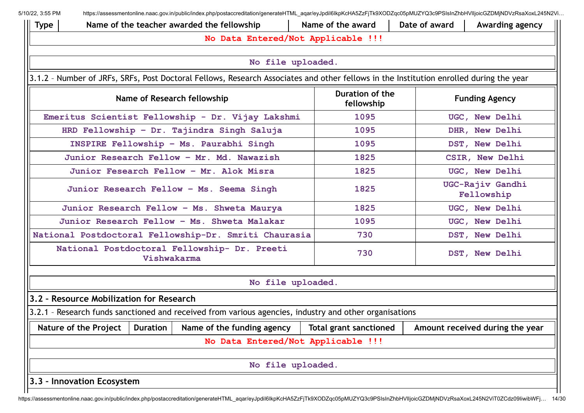| Ш<br>Type | Name of the award<br>Date of award<br>Name of the teacher awarded the fellowship<br>Awarding agency                                    |             |                                                                                                        |  |                               |  |                                 |  |  |  |  |
|-----------|----------------------------------------------------------------------------------------------------------------------------------------|-------------|--------------------------------------------------------------------------------------------------------|--|-------------------------------|--|---------------------------------|--|--|--|--|
|           |                                                                                                                                        |             | No Data Entered/Not Applicable !!!                                                                     |  |                               |  |                                 |  |  |  |  |
|           | No file uploaded.                                                                                                                      |             |                                                                                                        |  |                               |  |                                 |  |  |  |  |
|           |                                                                                                                                        |             |                                                                                                        |  |                               |  |                                 |  |  |  |  |
|           | 3.1.2 - Number of JRFs, SRFs, Post Doctoral Fellows, Research Associates and other fellows in the Institution enrolled during the year |             |                                                                                                        |  |                               |  |                                 |  |  |  |  |
|           |                                                                                                                                        |             | Name of Research fellowship                                                                            |  | Duration of the<br>fellowship |  | <b>Funding Agency</b>           |  |  |  |  |
|           |                                                                                                                                        |             | Emeritus Scientist Fellowship - Dr. Vijay Lakshmi                                                      |  | 1095                          |  | UGC, New Delhi                  |  |  |  |  |
|           |                                                                                                                                        |             | HRD Fellowship - Dr. Tajindra Singh Saluja                                                             |  | 1095                          |  | DHR, New Delhi                  |  |  |  |  |
|           |                                                                                                                                        |             | INSPIRE Fellowship - Ms. Paurabhi Singh                                                                |  | 1095                          |  | DST, New Delhi                  |  |  |  |  |
|           |                                                                                                                                        |             | Junior Research Fellow - Mr. Md. Nawazish                                                              |  | 1825                          |  | CSIR, New Delhi                 |  |  |  |  |
|           |                                                                                                                                        |             | Junior Fesearch Fellow - Mr. Alok Misra                                                                |  | 1825                          |  | UGC, New Delhi                  |  |  |  |  |
|           |                                                                                                                                        |             | Junior Research Fellow - Ms. Seema Singh                                                               |  | 1825                          |  | UGC-Rajiv Gandhi<br>Fellowship  |  |  |  |  |
|           |                                                                                                                                        |             | Junior Research Fellow - Ms. Shweta Maurya                                                             |  | 1825                          |  | UGC, New Delhi                  |  |  |  |  |
|           |                                                                                                                                        |             | Junior Research Fellow - Ms. Shweta Malakar                                                            |  | 1095                          |  | UGC, New Delhi                  |  |  |  |  |
|           |                                                                                                                                        |             | National Postdoctoral Fellowship-Dr. Smriti Chaurasia                                                  |  | 730                           |  | DST, New Delhi                  |  |  |  |  |
|           |                                                                                                                                        | Vishwakarma | National Postdoctoral Fellowship- Dr. Preeti                                                           |  | 730                           |  | DST, New Delhi                  |  |  |  |  |
|           |                                                                                                                                        |             |                                                                                                        |  |                               |  |                                 |  |  |  |  |
|           |                                                                                                                                        |             | No file uploaded.                                                                                      |  |                               |  |                                 |  |  |  |  |
|           | 3.2 - Resource Mobilization for Research                                                                                               |             |                                                                                                        |  |                               |  |                                 |  |  |  |  |
|           |                                                                                                                                        |             | 3.2.1 - Research funds sanctioned and received from various agencies, industry and other organisations |  |                               |  |                                 |  |  |  |  |
|           | Nature of the Project $\vert$ Duration $\vert$                                                                                         |             | Name of the funding agency                                                                             |  | <b>Total grant sanctioned</b> |  | Amount received during the year |  |  |  |  |
|           |                                                                                                                                        |             | No Data Entered/Not Applicable !!!                                                                     |  |                               |  |                                 |  |  |  |  |
|           |                                                                                                                                        |             | No file uploaded.                                                                                      |  |                               |  |                                 |  |  |  |  |
|           | 3.3 - Innovation Ecosystem                                                                                                             |             |                                                                                                        |  |                               |  |                                 |  |  |  |  |
|           |                                                                                                                                        |             |                                                                                                        |  |                               |  |                                 |  |  |  |  |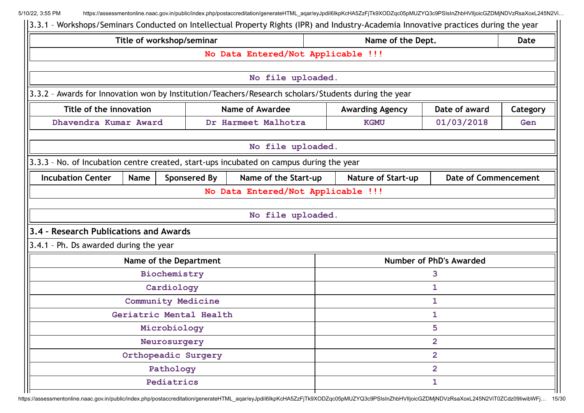| 3.3.1 - Workshops/Seminars Conducted on Intellectual Property Rights (IPR) and Industry-Academia Innovative practices during the year |                     |                                    |                                |                |                             |  |  |
|---------------------------------------------------------------------------------------------------------------------------------------|---------------------|------------------------------------|--------------------------------|----------------|-----------------------------|--|--|
| Title of workshop/seminar                                                                                                             |                     |                                    | Name of the Dept.              |                | <b>Date</b>                 |  |  |
|                                                                                                                                       |                     | No Data Entered/Not Applicable !!! |                                |                |                             |  |  |
|                                                                                                                                       |                     |                                    |                                |                |                             |  |  |
|                                                                                                                                       |                     | No file uploaded.                  |                                |                |                             |  |  |
| 3.3.2 - Awards for Innovation won by Institution/Teachers/Research scholars/Students during the year                                  |                     |                                    |                                |                |                             |  |  |
| Title of the innovation                                                                                                               |                     | <b>Name of Awardee</b>             | <b>Awarding Agency</b>         | Date of award  | Category                    |  |  |
| Dhavendra Kumar Award                                                                                                                 |                     | Dr Harmeet Malhotra                | <b>KGMU</b>                    | 01/03/2018     | Gen                         |  |  |
|                                                                                                                                       |                     | No file uploaded.                  |                                |                |                             |  |  |
| 3.3.3 - No. of Incubation centre created, start-ups incubated on campus during the year                                               |                     |                                    |                                |                |                             |  |  |
| <b>Incubation Center</b><br>Name                                                                                                      | <b>Sponsered By</b> | Name of the Start-up               | <b>Nature of Start-up</b>      |                | <b>Date of Commencement</b> |  |  |
|                                                                                                                                       |                     | No Data Entered/Not Applicable !!! |                                |                |                             |  |  |
|                                                                                                                                       |                     |                                    |                                |                |                             |  |  |
|                                                                                                                                       |                     | No file uploaded.                  |                                |                |                             |  |  |
| 3.4 - Research Publications and Awards                                                                                                |                     |                                    |                                |                |                             |  |  |
| 3.4.1 - Ph. Ds awarded during the year                                                                                                |                     |                                    |                                |                |                             |  |  |
| Name of the Department                                                                                                                |                     |                                    | <b>Number of PhD's Awarded</b> |                |                             |  |  |
| Biochemistry                                                                                                                          |                     |                                    |                                | 3              |                             |  |  |
| Cardiology                                                                                                                            |                     |                                    |                                | 1              |                             |  |  |
| <b>Community Medicine</b>                                                                                                             |                     |                                    | 1                              |                |                             |  |  |
| Geriatric Mental Health                                                                                                               |                     |                                    |                                | 1              |                             |  |  |
| Microbiology                                                                                                                          |                     |                                    | 5                              |                |                             |  |  |
| Neurosurgery                                                                                                                          |                     |                                    | $\overline{2}$                 |                |                             |  |  |
| Orthopeadic Surgery                                                                                                                   |                     |                                    |                                | $\overline{2}$ |                             |  |  |
| Pathology                                                                                                                             |                     |                                    |                                | $\overline{2}$ |                             |  |  |
| Pediatrics                                                                                                                            |                     |                                    |                                | 1              |                             |  |  |
|                                                                                                                                       |                     |                                    |                                |                |                             |  |  |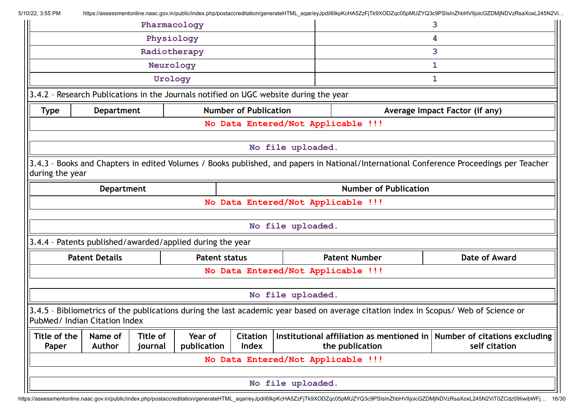|                               |                                                                                                                                                                                                                               | Pharmacology |                                                           |                              |                                    | 3                                                                                                                                    |               |  |  |  |  |  |
|-------------------------------|-------------------------------------------------------------------------------------------------------------------------------------------------------------------------------------------------------------------------------|--------------|-----------------------------------------------------------|------------------------------|------------------------------------|--------------------------------------------------------------------------------------------------------------------------------------|---------------|--|--|--|--|--|
|                               |                                                                                                                                                                                                                               | Physiology   |                                                           |                              |                                    |                                                                                                                                      | 4             |  |  |  |  |  |
|                               |                                                                                                                                                                                                                               | Radiotherapy |                                                           |                              |                                    |                                                                                                                                      | 3             |  |  |  |  |  |
|                               |                                                                                                                                                                                                                               | Neurology    |                                                           |                              |                                    | 1                                                                                                                                    |               |  |  |  |  |  |
|                               |                                                                                                                                                                                                                               | Urology      |                                                           |                              |                                    |                                                                                                                                      | 1             |  |  |  |  |  |
|                               | 3.4.2 - Research Publications in the Journals notified on UGC website during the year                                                                                                                                         |              |                                                           |                              |                                    |                                                                                                                                      |               |  |  |  |  |  |
| <b>Type</b>                   | <b>Department</b>                                                                                                                                                                                                             |              |                                                           | <b>Number of Publication</b> |                                    | Average Impact Factor (if any)                                                                                                       |               |  |  |  |  |  |
|                               | No Data Entered/Not Applicable !!!                                                                                                                                                                                            |              |                                                           |                              |                                    |                                                                                                                                      |               |  |  |  |  |  |
|                               |                                                                                                                                                                                                                               |              |                                                           |                              |                                    |                                                                                                                                      |               |  |  |  |  |  |
|                               |                                                                                                                                                                                                                               |              |                                                           |                              | No file uploaded.                  |                                                                                                                                      |               |  |  |  |  |  |
|                               | 3.4.3 - Books and Chapters in edited Volumes / Books published, and papers in National/International Conference Proceedings per Teacher<br>during the year                                                                    |              |                                                           |                              |                                    |                                                                                                                                      |               |  |  |  |  |  |
|                               | <b>Department</b>                                                                                                                                                                                                             |              |                                                           |                              |                                    | <b>Number of Publication</b>                                                                                                         |               |  |  |  |  |  |
|                               |                                                                                                                                                                                                                               |              |                                                           |                              | No Data Entered/Not Applicable !!! |                                                                                                                                      |               |  |  |  |  |  |
|                               |                                                                                                                                                                                                                               |              |                                                           |                              |                                    |                                                                                                                                      |               |  |  |  |  |  |
|                               |                                                                                                                                                                                                                               |              |                                                           |                              | No file uploaded.                  |                                                                                                                                      |               |  |  |  |  |  |
|                               |                                                                                                                                                                                                                               |              | 3.4.4 - Patents published/awarded/applied during the year |                              |                                    |                                                                                                                                      |               |  |  |  |  |  |
|                               | <b>Patent Details</b>                                                                                                                                                                                                         |              | <b>Patent status</b>                                      |                              |                                    | <b>Patent Number</b>                                                                                                                 | Date of Award |  |  |  |  |  |
|                               |                                                                                                                                                                                                                               |              |                                                           |                              | No Data Entered/Not Applicable !!! |                                                                                                                                      |               |  |  |  |  |  |
|                               |                                                                                                                                                                                                                               |              |                                                           |                              |                                    |                                                                                                                                      |               |  |  |  |  |  |
|                               |                                                                                                                                                                                                                               |              |                                                           |                              | No file uploaded.                  |                                                                                                                                      |               |  |  |  |  |  |
| PubMed/ Indian Citation Index |                                                                                                                                                                                                                               |              |                                                           |                              |                                    | 3.4.5 - Bibliometrics of the publications during the last academic year based on average citation index in Scopus/ Web of Science or |               |  |  |  |  |  |
| Title of the                  | Year of<br>Institutional affiliation as mentioned in   Number of citations excluding<br>Title of<br><b>Citation</b><br>Name of<br><b>Index</b><br><b>Author</b><br>publication<br>the publication<br>self citation<br>journal |              |                                                           |                              |                                    |                                                                                                                                      |               |  |  |  |  |  |
| Paper                         |                                                                                                                                                                                                                               |              |                                                           |                              |                                    |                                                                                                                                      |               |  |  |  |  |  |
|                               |                                                                                                                                                                                                                               |              |                                                           |                              | No Data Entered/Not Applicable !!! |                                                                                                                                      |               |  |  |  |  |  |
|                               |                                                                                                                                                                                                                               |              |                                                           |                              | No file uploaded.                  |                                                                                                                                      |               |  |  |  |  |  |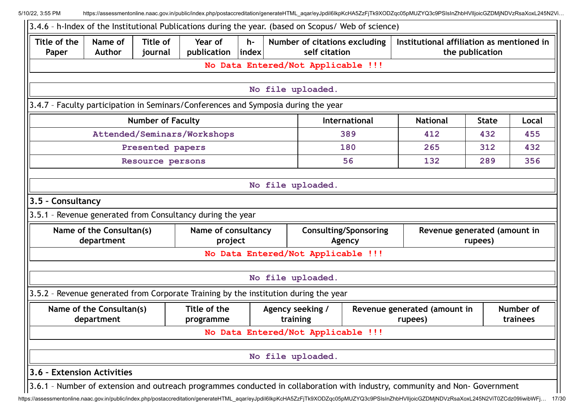| Title of the<br>Paper | Name of<br><b>Author</b>               | <b>Title of</b><br>journal | Year of<br>publication  index                                                                | $h-$ | Number of citations excluding<br>self citation                                       |                                        | Institutional affiliation as mentioned in<br>the publication |                                         |                       |  |
|-----------------------|----------------------------------------|----------------------------|----------------------------------------------------------------------------------------------|------|--------------------------------------------------------------------------------------|----------------------------------------|--------------------------------------------------------------|-----------------------------------------|-----------------------|--|
|                       |                                        |                            |                                                                                              |      | No Data Entered/Not Applicable !!!                                                   |                                        |                                                              |                                         |                       |  |
|                       |                                        |                            |                                                                                              |      | No file uploaded.                                                                    |                                        |                                                              |                                         |                       |  |
|                       |                                        |                            |                                                                                              |      | 3.4.7 - Faculty participation in Seminars/Conferences and Symposia during the year   |                                        |                                                              |                                         |                       |  |
|                       |                                        | <b>Number of Faculty</b>   |                                                                                              |      |                                                                                      | International                          | <b>National</b>                                              | <b>State</b>                            | Local                 |  |
|                       |                                        |                            | Attended/Seminars/Workshops                                                                  |      |                                                                                      | 389                                    | 412                                                          | 432                                     | 455                   |  |
|                       |                                        | Presented papers           |                                                                                              |      |                                                                                      | 180                                    | 265                                                          | 312                                     | 432                   |  |
|                       |                                        | Resource persons           |                                                                                              |      |                                                                                      | 56                                     | 132                                                          | 289                                     | 356                   |  |
| 3.5 - Consultancy     | Name of the Consultan(s)<br>department |                            | 3.5.1 - Revenue generated from Consultancy during the year<br>Name of consultancy<br>project |      |                                                                                      | <b>Consulting/Sponsoring</b><br>Agency |                                                              | Revenue generated (amount in<br>rupees) |                       |  |
|                       |                                        |                            |                                                                                              |      | No Data Entered/Not Applicable !!!<br>No file uploaded.                              |                                        |                                                              |                                         |                       |  |
|                       |                                        |                            |                                                                                              |      | 3.5.2 - Revenue generated from Corporate Training by the institution during the year |                                        |                                                              |                                         |                       |  |
|                       | Name of the Consultan(s)<br>department |                            | Title of the<br>programme                                                                    |      | Agency seeking /<br>training                                                         |                                        | Revenue generated (amount in<br>rupees)                      |                                         | Number of<br>trainees |  |
|                       |                                        |                            |                                                                                              |      | No Data Entered/Not Applicable !!!                                                   |                                        |                                                              |                                         |                       |  |
|                       |                                        |                            |                                                                                              |      | No file uploaded.                                                                    |                                        |                                                              |                                         |                       |  |
|                       |                                        |                            |                                                                                              |      |                                                                                      |                                        |                                                              |                                         |                       |  |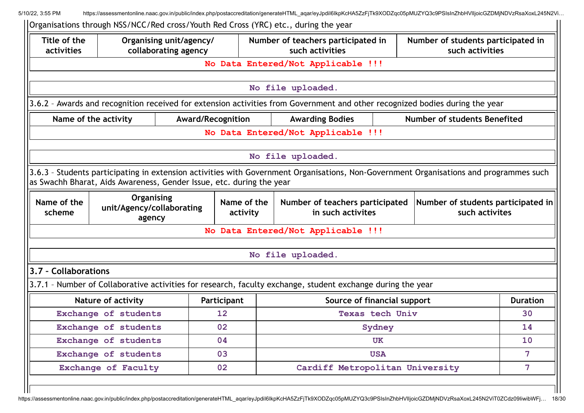| Title of the<br>activities                                                                          |                                                                      | Organising unit/agency/<br>collaborating agency |                                       | Number of teachers participated in<br>such activities                                                                                  |                 | Number of students participated in<br>such activities |                 |  |
|-----------------------------------------------------------------------------------------------------|----------------------------------------------------------------------|-------------------------------------------------|---------------------------------------|----------------------------------------------------------------------------------------------------------------------------------------|-----------------|-------------------------------------------------------|-----------------|--|
|                                                                                                     |                                                                      |                                                 |                                       | No Data Entered/Not Applicable !!!                                                                                                     |                 |                                                       |                 |  |
|                                                                                                     |                                                                      |                                                 |                                       | No file uploaded.                                                                                                                      |                 |                                                       |                 |  |
|                                                                                                     |                                                                      |                                                 |                                       | 3.6.2 - Awards and recognition received for extension activities from Government and other recognized bodies during the year           |                 |                                                       |                 |  |
| Award/Recognition<br>Number of students Benefited<br>Name of the activity<br><b>Awarding Bodies</b> |                                                                      |                                                 |                                       |                                                                                                                                        |                 |                                                       |                 |  |
|                                                                                                     |                                                                      |                                                 |                                       | No Data Entered/Not Applicable !!!                                                                                                     |                 |                                                       |                 |  |
|                                                                                                     |                                                                      |                                                 |                                       | No file uploaded.                                                                                                                      |                 |                                                       |                 |  |
|                                                                                                     |                                                                      |                                                 |                                       |                                                                                                                                        |                 |                                                       |                 |  |
|                                                                                                     | as Swachh Bharat, Aids Awareness, Gender Issue, etc. during the year |                                                 |                                       | 3.6.3 - Students participating in extension activities with Government Organisations, Non-Government Organisations and programmes such |                 |                                                       |                 |  |
| Name of the<br>scheme                                                                               | Organising<br>unit/Agency/collaborating<br>agency                    |                                                 | Name of the<br>activity               | Number of teachers participated<br>Number of students participated in<br>in such activites<br>such activites                           |                 |                                                       |                 |  |
|                                                                                                     |                                                                      |                                                 |                                       | No Data Entered/Not Applicable !!!                                                                                                     |                 |                                                       |                 |  |
|                                                                                                     |                                                                      |                                                 |                                       | No file uploaded.                                                                                                                      |                 |                                                       |                 |  |
| 3.7 - Collaborations                                                                                |                                                                      |                                                 |                                       |                                                                                                                                        |                 |                                                       |                 |  |
|                                                                                                     |                                                                      |                                                 |                                       | 3.7.1 - Number of Collaborative activities for research, faculty exchange, student exchange during the year                            |                 |                                                       |                 |  |
|                                                                                                     | Nature of activity                                                   |                                                 | Participant                           | Source of financial support                                                                                                            |                 |                                                       | <b>Duration</b> |  |
|                                                                                                     | Exchange of students                                                 |                                                 | 12                                    |                                                                                                                                        | Texas tech Univ |                                                       | 30              |  |
|                                                                                                     | Exchange of students                                                 |                                                 | 02                                    |                                                                                                                                        | Sydney          |                                                       | 14              |  |
|                                                                                                     | Exchange of students                                                 |                                                 | 04                                    |                                                                                                                                        | UK              |                                                       | 10              |  |
|                                                                                                     | Exchange of students                                                 |                                                 | 03                                    |                                                                                                                                        | <b>USA</b>      |                                                       | $\overline{7}$  |  |
|                                                                                                     | Exchange of Faculty                                                  |                                                 | 02<br>Cardiff Metropolitan University |                                                                                                                                        |                 |                                                       | 7 <sup>1</sup>  |  |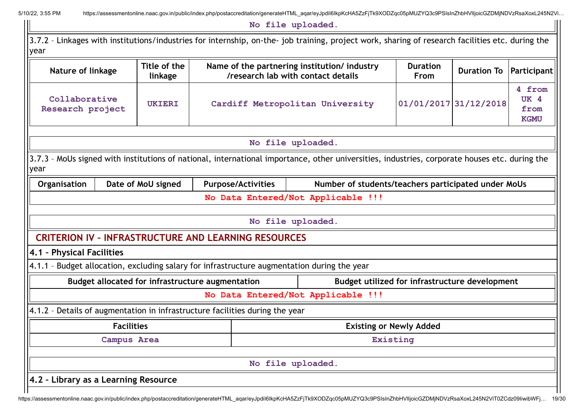**No file uploaded.**

3.7.2 - Linkages with institutions/industries for internship, on-the- job training, project work, sharing of research facilities etc. during the year **Nature of linkage Title of the linkage Name of the partnering institution/ industry /research lab with contact details Duration From Duration To Participant Collaborative Research project UKIERI Cardiff Metropolitan University 01/01/2017 31/12/2018 4 from UK 4 from KGMU No file uploaded.**

3.7.3 – MoUs signed with institutions of national, international importance, other universities, industries, corporate houses etc. during the year

**Organisation** | Date of MoU signed | Purpose/Activities | Number of students/teachers participated under MoUs

| No Data Entered/Not Applicable !!!                          |
|-------------------------------------------------------------|
|                                                             |
| No file uploaded.                                           |
| <b>CRITERION IV - INFRASTRUCTURE AND LEARNING RESOURCES</b> |

4.1.1 – Budget allocation, excluding salary for infrastructure augmentation during the year

**Budget allocated for infrastructure augmentation Budget utilized for infrastructure development**

**No Data Entered/Not Applicable !!!**

4.1.2 – Details of augmentation in infrastructure facilities during the year

| <b>Facilities</b>                    | <b>Existing or Newly Added</b> |
|--------------------------------------|--------------------------------|
| Campus Area                          | Existing                       |
|                                      | No file uploaded.              |
| 4.2 - Library as a Learning Resource |                                |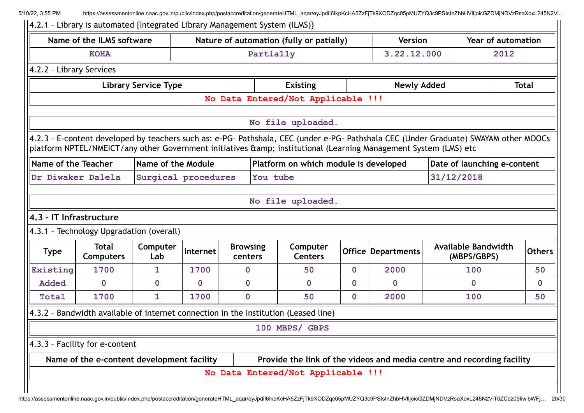|                          | Name of the ILMS software                  |                             |             |                            | Nature of automation (fully or patially)                                                                                                                                                                                                                  |              | <b>Version</b>       | Year of automation |                                           |                             |  |  |
|--------------------------|--------------------------------------------|-----------------------------|-------------|----------------------------|-----------------------------------------------------------------------------------------------------------------------------------------------------------------------------------------------------------------------------------------------------------|--------------|----------------------|--------------------|-------------------------------------------|-----------------------------|--|--|
|                          | <b>KOHA</b>                                |                             |             |                            | Partially<br>3.22.12.000                                                                                                                                                                                                                                  |              |                      | 2012               |                                           |                             |  |  |
| 4.2.2 - Library Services |                                            |                             |             |                            |                                                                                                                                                                                                                                                           |              |                      |                    |                                           |                             |  |  |
|                          |                                            | <b>Library Service Type</b> |             |                            | <b>Existing</b>                                                                                                                                                                                                                                           |              | <b>Newly Added</b>   |                    | <b>Total</b>                              |                             |  |  |
|                          |                                            |                             |             |                            | No Data Entered/Not Applicable !!!                                                                                                                                                                                                                        |              |                      |                    |                                           |                             |  |  |
|                          |                                            |                             |             |                            | No file uploaded.                                                                                                                                                                                                                                         |              |                      |                    |                                           |                             |  |  |
|                          |                                            |                             |             |                            | 4.2.3 - E-content developed by teachers such as: e-PG- Pathshala, CEC (under e-PG- Pathshala CEC (Under Graduate) SWAYAM other MOOCs<br>platform NPTEL/NMEICT/any other Government initiatives & amp; institutional (Learning Management System (LMS) etc |              |                      |                    |                                           |                             |  |  |
| Name of the Teacher      |                                            | Name of the Module          |             |                            | Platform on which module is developed                                                                                                                                                                                                                     |              |                      |                    |                                           | Date of launching e-content |  |  |
| Dr Diwaker Dalela        |                                            | Surgical procedures         |             |                            | You tube                                                                                                                                                                                                                                                  |              |                      |                    | 31/12/2018                                |                             |  |  |
|                          |                                            |                             |             |                            |                                                                                                                                                                                                                                                           |              |                      |                    |                                           |                             |  |  |
|                          |                                            |                             |             |                            |                                                                                                                                                                                                                                                           |              |                      |                    |                                           |                             |  |  |
|                          |                                            |                             |             |                            | No file uploaded.                                                                                                                                                                                                                                         |              |                      |                    |                                           |                             |  |  |
|                          |                                            |                             |             |                            |                                                                                                                                                                                                                                                           |              |                      |                    |                                           |                             |  |  |
| 4.3 - IT Infrastructure  | 4.3.1 - Technology Upgradation (overall)   |                             |             |                            |                                                                                                                                                                                                                                                           |              |                      |                    |                                           |                             |  |  |
| <b>Type</b>              | <b>Total</b><br><b>Computers</b>           | Computer<br>Lab             | Internet    | <b>Browsing</b><br>centers | Computer<br><b>Centers</b>                                                                                                                                                                                                                                |              | Office   Departments |                    | <b>Available Bandwidth</b><br>(MBPS/GBPS) | <b>Others</b>               |  |  |
|                          | 1700                                       | 1                           | 1700        | $\mathbf{0}$               | 50                                                                                                                                                                                                                                                        | $\mathbf 0$  | 2000                 |                    | 100                                       |                             |  |  |
| <b>Added</b>             | 0                                          | $\mathbf 0$                 | $\mathbf 0$ | $\mathbf{0}$               | $\mathbf{0}$                                                                                                                                                                                                                                              | $\mathbf{0}$ | $\mathbf{O}$         |                    | $\mathbf 0$                               | $\mathbf 0$                 |  |  |
| Total                    | 1700                                       | 1                           | 1700        | $\boldsymbol{0}$           | 50                                                                                                                                                                                                                                                        | $\mathbf 0$  | 2000                 |                    | 100                                       |                             |  |  |
| Existing                 |                                            |                             |             |                            | 4.3.2 - Bandwidth available of internet connection in the Institution (Leased line)                                                                                                                                                                       |              |                      |                    |                                           |                             |  |  |
|                          |                                            |                             |             |                            | 100 MBPS/ GBPS                                                                                                                                                                                                                                            |              |                      |                    |                                           | 50<br>50                    |  |  |
|                          | 4.3.3 - Facility for e-content             |                             |             |                            |                                                                                                                                                                                                                                                           |              |                      |                    |                                           |                             |  |  |
|                          | Name of the e-content development facility |                             |             |                            | Provide the link of the videos and media centre and recording facility                                                                                                                                                                                    |              |                      |                    |                                           |                             |  |  |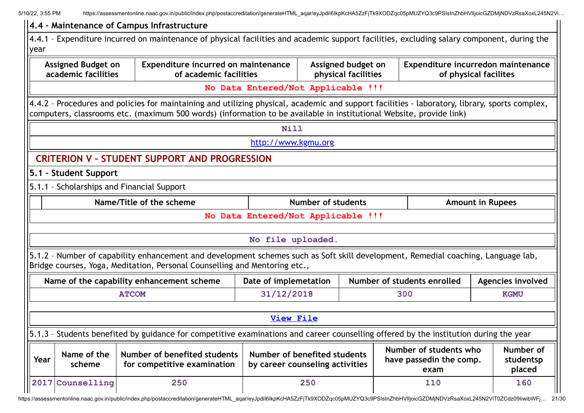|      |                                                  | 4.4 - Maintenance of Campus Infrastructure                                                                                                                                                                                                                            |                                    |                                                                 |                                                           |                         |                                  |
|------|--------------------------------------------------|-----------------------------------------------------------------------------------------------------------------------------------------------------------------------------------------------------------------------------------------------------------------------|------------------------------------|-----------------------------------------------------------------|-----------------------------------------------------------|-------------------------|----------------------------------|
| year |                                                  | 4.4.1 - Expenditure incurred on maintenance of physical facilities and academic support facilities, excluding salary component, during the                                                                                                                            |                                    |                                                                 |                                                           |                         |                                  |
|      | <b>Assigned Budget on</b><br>academic facilities | Expenditure incurred on maintenance<br>of academic facilities                                                                                                                                                                                                         |                                    | Assigned budget on<br>physical facilities                       | Expenditure incurredon maintenance                        | of physical facilites   |                                  |
|      |                                                  |                                                                                                                                                                                                                                                                       | No Data Entered/Not Applicable !!! |                                                                 |                                                           |                         |                                  |
|      |                                                  | 4.4.2 - Procedures and policies for maintaining and utilizing physical, academic and support facilities - laboratory, library, sports complex,<br>computers, classrooms etc. (maximum 500 words) (information to be available in institutional Website, provide link) |                                    |                                                                 |                                                           |                         |                                  |
|      |                                                  |                                                                                                                                                                                                                                                                       | Nill                               |                                                                 |                                                           |                         |                                  |
|      |                                                  |                                                                                                                                                                                                                                                                       | http://www.kgmu.org                |                                                                 |                                                           |                         |                                  |
|      |                                                  | <b>CRITERION V - STUDENT SUPPORT AND PROGRESSION</b>                                                                                                                                                                                                                  |                                    |                                                                 |                                                           |                         |                                  |
|      | 5.1 - Student Support                            |                                                                                                                                                                                                                                                                       |                                    |                                                                 |                                                           |                         |                                  |
|      |                                                  | 5.1.1 - Scholarships and Financial Support                                                                                                                                                                                                                            |                                    |                                                                 |                                                           |                         |                                  |
|      |                                                  | Name/Title of the scheme                                                                                                                                                                                                                                              |                                    | Number of students                                              |                                                           | <b>Amount in Rupees</b> |                                  |
|      |                                                  |                                                                                                                                                                                                                                                                       | No Data Entered/Not Applicable !!! |                                                                 |                                                           |                         |                                  |
|      |                                                  |                                                                                                                                                                                                                                                                       | No file uploaded.                  |                                                                 |                                                           |                         |                                  |
|      |                                                  | 5.1.2 - Number of capability enhancement and development schemes such as Soft skill development, Remedial coaching, Language lab,<br>Bridge courses, Yoga, Meditation, Personal Counselling and Mentoring etc.,                                                       |                                    |                                                                 |                                                           |                         |                                  |
|      |                                                  | Name of the capability enhancement scheme                                                                                                                                                                                                                             | Date of implemetation              |                                                                 | Number of students enrolled                               |                         | Agencies involved                |
|      |                                                  | <b>ATCOM</b>                                                                                                                                                                                                                                                          | 31/12/2018                         |                                                                 | 300                                                       |                         | <b>KGMU</b>                      |
|      |                                                  |                                                                                                                                                                                                                                                                       |                                    |                                                                 |                                                           |                         |                                  |
|      |                                                  |                                                                                                                                                                                                                                                                       | <b>View File</b>                   |                                                                 |                                                           |                         |                                  |
|      |                                                  | 5.1.3 - Students benefited by guidance for competitive examinations and career counselling offered by the institution during the year                                                                                                                                 |                                    |                                                                 |                                                           |                         |                                  |
| Year | Name of the<br>scheme                            | Number of benefited students<br>for competitive examination                                                                                                                                                                                                           |                                    | Number of benefited students<br>by career counseling activities | Number of students who<br>have passedin the comp.<br>exam |                         | Number of<br>studentsp<br>placed |
|      | 2017 Counselling                                 | 250                                                                                                                                                                                                                                                                   |                                    | 250                                                             | 110                                                       |                         | 160                              |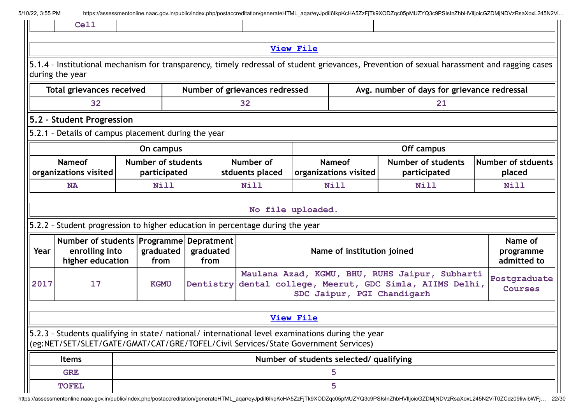|  | 5/10/22, 3:55 PM |  |
|--|------------------|--|
|  |                  |  |

| 5/10/22, 3:55 PM |                                                                                                                                                                                        |  |                   |                   |  |                                |                                        |                                         | https://assessmentonline.naac.gov.in/public/index.php/postaccreditation/generateHTML_aqar/eyJpdil6lkpKcHA5ZzFjTk9XODZqc05pMUZYQ3c9PSIsInZhbHVIIjoicGZDMjNDVzRsaXoxL245N2Vi |  |                                     |  |
|------------------|----------------------------------------------------------------------------------------------------------------------------------------------------------------------------------------|--|-------------------|-------------------|--|--------------------------------|----------------------------------------|-----------------------------------------|----------------------------------------------------------------------------------------------------------------------------------------------------------------------------|--|-------------------------------------|--|
|                  | <b>Cell</b>                                                                                                                                                                            |  |                   |                   |  |                                |                                        |                                         |                                                                                                                                                                            |  |                                     |  |
|                  |                                                                                                                                                                                        |  |                   |                   |  |                                | <b>View File</b>                       |                                         |                                                                                                                                                                            |  |                                     |  |
|                  | during the year                                                                                                                                                                        |  |                   |                   |  |                                |                                        |                                         | 5.1.4 - Institutional mechanism for transparency, timely redressal of student grievances, Prevention of sexual harassment and ragging cases                                |  |                                     |  |
|                  | <b>Total grievances received</b>                                                                                                                                                       |  |                   |                   |  | Number of grievances redressed |                                        |                                         | Avg. number of days for grievance redressal                                                                                                                                |  |                                     |  |
| 32<br>32<br>21   |                                                                                                                                                                                        |  |                   |                   |  |                                |                                        |                                         |                                                                                                                                                                            |  |                                     |  |
|                  | 5.2 - Student Progression                                                                                                                                                              |  |                   |                   |  |                                |                                        |                                         |                                                                                                                                                                            |  |                                     |  |
|                  | 5.2.1 - Details of campus placement during the year                                                                                                                                    |  |                   |                   |  |                                |                                        |                                         |                                                                                                                                                                            |  |                                     |  |
|                  |                                                                                                                                                                                        |  | On campus         |                   |  |                                |                                        |                                         | Off campus                                                                                                                                                                 |  |                                     |  |
|                  | <b>Nameof</b><br><b>Number of students</b><br>organizations visited<br>participated                                                                                                    |  |                   |                   |  | Number of<br>stduents placed   | <b>Nameof</b><br>organizations visited |                                         | <b>Number of students</b><br>participated                                                                                                                                  |  | <b>Number of stduents</b><br>placed |  |
|                  | Nill<br><b>NA</b>                                                                                                                                                                      |  |                   |                   |  | Nill                           | Nill                                   |                                         | Nill                                                                                                                                                                       |  | <b>Nill</b>                         |  |
|                  |                                                                                                                                                                                        |  |                   |                   |  | No file uploaded.              |                                        |                                         |                                                                                                                                                                            |  |                                     |  |
|                  | 5.2.2 - Student progression to higher education in percentage during the year                                                                                                          |  |                   |                   |  |                                |                                        |                                         |                                                                                                                                                                            |  |                                     |  |
| Year             | Number of students   Programme   Depratment  <br>enrolling into<br>higher education                                                                                                    |  | graduated<br>from | graduated<br>from |  |                                |                                        | Name of institution joined              |                                                                                                                                                                            |  | Name of<br>programme<br>admitted to |  |
| 2017             | 17                                                                                                                                                                                     |  | <b>KGMU</b>       |                   |  |                                |                                        |                                         | Maulana Azad, KGMU, BHU, RUHS Jaipur, Subharti<br>Dentistry dental college, Meerut, GDC Simla, AIIMS Delhi,<br>SDC Jaipur, PGI Chandigarh                                  |  | Postgraduate<br><b>Courses</b>      |  |
|                  |                                                                                                                                                                                        |  |                   |                   |  |                                | <b>View File</b>                       |                                         |                                                                                                                                                                            |  |                                     |  |
|                  | 5.2.3 - Students qualifying in state/ national/ international level examinations during the year<br>(eg:NET/SET/SLET/GATE/GMAT/CAT/GRE/TOFEL/Civil Services/State Government Services) |  |                   |                   |  |                                |                                        |                                         |                                                                                                                                                                            |  |                                     |  |
|                  | <b>Items</b>                                                                                                                                                                           |  |                   |                   |  |                                |                                        | Number of students selected/ qualifying |                                                                                                                                                                            |  |                                     |  |
|                  | <b>GRE</b>                                                                                                                                                                             |  |                   |                   |  |                                |                                        | 5                                       |                                                                                                                                                                            |  |                                     |  |
|                  | <b>TOFEL</b>                                                                                                                                                                           |  |                   |                   |  |                                |                                        | 5                                       |                                                                                                                                                                            |  |                                     |  |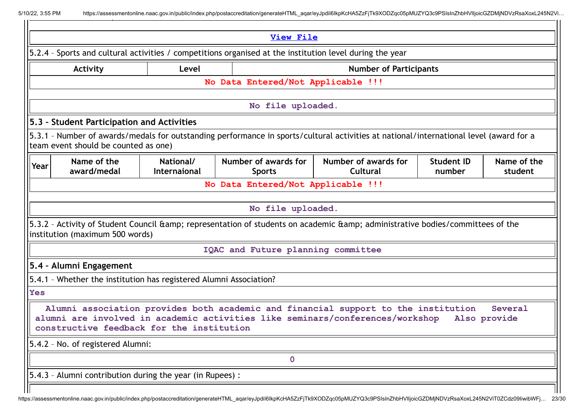| <b>View File</b> |                                                                    |                           |                                                                                                          |                                                                                                                                                                     |                             |                         |  |  |
|------------------|--------------------------------------------------------------------|---------------------------|----------------------------------------------------------------------------------------------------------|---------------------------------------------------------------------------------------------------------------------------------------------------------------------|-----------------------------|-------------------------|--|--|
|                  |                                                                    |                           | 5.2.4 - Sports and cultural activities / competitions organised at the institution level during the year |                                                                                                                                                                     |                             |                         |  |  |
|                  | <b>Activity</b>                                                    | Level                     |                                                                                                          | <b>Number of Participants</b>                                                                                                                                       |                             |                         |  |  |
|                  |                                                                    |                           | No Data Entered/Not Applicable !!!                                                                       |                                                                                                                                                                     |                             |                         |  |  |
|                  |                                                                    |                           | No file uploaded.                                                                                        |                                                                                                                                                                     |                             |                         |  |  |
|                  | 5.3 - Student Participation and Activities                         |                           |                                                                                                          |                                                                                                                                                                     |                             |                         |  |  |
|                  | team event should be counted as one)                               |                           |                                                                                                          | 5.3.1 - Number of awards/medals for outstanding performance in sports/cultural activities at national/international level (award for a                              |                             |                         |  |  |
| Year             | Name of the<br>award/medal                                         | National/<br>Internaional | Number of awards for<br><b>Sports</b>                                                                    | Number of awards for<br>Cultural                                                                                                                                    | <b>Student ID</b><br>number | Name of the<br>student  |  |  |
|                  |                                                                    |                           | No Data Entered/Not Applicable !!!                                                                       |                                                                                                                                                                     |                             |                         |  |  |
|                  |                                                                    |                           |                                                                                                          |                                                                                                                                                                     |                             |                         |  |  |
|                  |                                                                    |                           | No file uploaded.                                                                                        |                                                                                                                                                                     |                             |                         |  |  |
|                  | institution (maximum 500 words)                                    |                           |                                                                                                          | 5.3.2 - Activity of Student Council & representation of students on academic & administrative bodies/committees of the                                              |                             |                         |  |  |
|                  |                                                                    |                           | IQAC and Future planning committee                                                                       |                                                                                                                                                                     |                             |                         |  |  |
|                  | 5.4 - Alumni Engagement                                            |                           |                                                                                                          |                                                                                                                                                                     |                             |                         |  |  |
|                  | 5.4.1 - Whether the institution has registered Alumni Association? |                           |                                                                                                          |                                                                                                                                                                     |                             |                         |  |  |
| <b>Yes</b>       |                                                                    |                           |                                                                                                          |                                                                                                                                                                     |                             |                         |  |  |
|                  | constructive feedback for the institution                          |                           |                                                                                                          | Alumni association provides both academic and financial support to the institution<br>alumni are involved in academic activities like seminars/conferences/workshop |                             | Several<br>Also provide |  |  |
|                  | 5.4.2 - No. of registered Alumni:                                  |                           |                                                                                                          |                                                                                                                                                                     |                             |                         |  |  |
|                  |                                                                    |                           | $\mathbf 0$                                                                                              |                                                                                                                                                                     |                             |                         |  |  |
|                  | 5.4.3 - Alumni contribution during the year (in Rupees) :          |                           |                                                                                                          |                                                                                                                                                                     |                             |                         |  |  |
|                  |                                                                    |                           |                                                                                                          |                                                                                                                                                                     |                             |                         |  |  |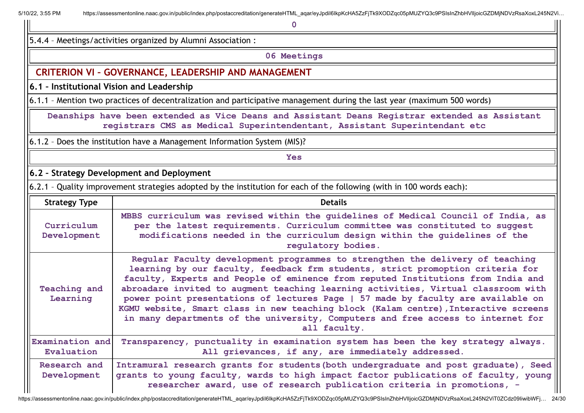**0**

5.4.4 – Meetings/activities organized by Alumni Association :

**06 Meetings**

### **CRITERION VI – GOVERNANCE, LEADERSHIP AND MANAGEMENT**

**6.1 – Institutional Vision and Leadership**

6.1.1 – Mention two practices of decentralization and participative management during the last year (maximum 500 words)

**Deanships have been extended as Vice Deans and Assistant Deans Registrar extended as Assistant registrars CMS as Medical Superintendentant, Assistant Superintendant etc**

6.1.2 – Does the institution have a Management Information System (MIS)?

#### **Yes**

**6.2 – Strategy Development and Deployment**

6.2.1 - Quality improvement strategies adopted by the institution for each of the following (with in 100 words each):

| <b>Strategy Type</b>          | <b>Details</b>                                                                                                                                                                                                                                                                                                                                                                                                                                                                                                                                                                                                          |
|-------------------------------|-------------------------------------------------------------------------------------------------------------------------------------------------------------------------------------------------------------------------------------------------------------------------------------------------------------------------------------------------------------------------------------------------------------------------------------------------------------------------------------------------------------------------------------------------------------------------------------------------------------------------|
| Curriculum<br>Development     | MBBS curriculum was revised within the guidelines of Medical Council of India, as<br>per the latest requirements. Curriculum committee was constituted to suggest<br>modifications needed in the curriculum design within the quidelines of the<br>regulatory bodies.                                                                                                                                                                                                                                                                                                                                                   |
| Teaching and<br>Learning      | Regular Faculty development programmes to strengthen the delivery of teaching<br>learning by our faculty, feedback frm students, strict promoption criteria for<br>faculty, Experts and People of eminence from reputed Institutions from India and<br>abroadare invited to augment teaching learning activities, Virtual classroom with<br>power point presentations of lectures Page   57 made by faculty are available on<br>KGMU website, Smart class in new teaching block (Kalam centre), Interactive screens<br>in many departments of the university, Computers and free access to internet for<br>all faculty. |
| Examination and<br>Evaluation | Transparency, punctuality in examination system has been the key strategy always.<br>All grievances, if any, are immediately addressed.                                                                                                                                                                                                                                                                                                                                                                                                                                                                                 |
| Research and<br>Development   | Intramural research grants for students (both undergraduate and post graduate), Seed<br>grants to young faculty, wards to high impact factor publications of faculty, young<br>researcher award, use of research publication criteria in promotions, -                                                                                                                                                                                                                                                                                                                                                                  |

https://assessmentonline.naac.gov.in/public/index.php/postaccreditation/generateHTML\_aqar/eyJpdiI6IkpKcHA5ZzFjTk9XODZqc05pMUZYQ3c9PSIsInZhbHVIIjoicGZDMjNDVzRsaXoxL245N2ViT0ZCdz09IiwibWFj… 24/30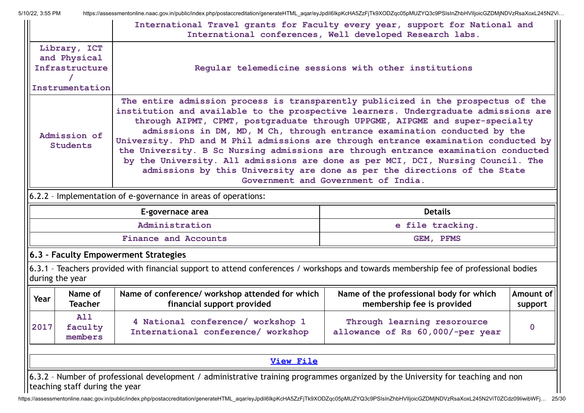|      |                                                                   | International Travel grants for Faculty every year, support for National and                                                                                                                                                                                                                                                                                                                                                                                                                                              | International conferences, Well developed Research labs.                                                                                                                                      |              |
|------|-------------------------------------------------------------------|---------------------------------------------------------------------------------------------------------------------------------------------------------------------------------------------------------------------------------------------------------------------------------------------------------------------------------------------------------------------------------------------------------------------------------------------------------------------------------------------------------------------------|-----------------------------------------------------------------------------------------------------------------------------------------------------------------------------------------------|--------------|
|      | Library, ICT<br>and Physical<br>Infrastructure<br>Instrumentation |                                                                                                                                                                                                                                                                                                                                                                                                                                                                                                                           | Regular telemedicine sessions with other institutions                                                                                                                                         |              |
|      | Admission of<br><b>Students</b>                                   | The entire admission process is transparently publicized in the prospectus of the<br>institution and available to the prospective learners. Undergraduate admissions are<br>through AIPMT, CPMT, postgraduate through UPPGME, AIPGME and super-specialty<br>University. PhD and M Phil admissions are through entrance examination conducted by<br>the University. B Sc Nursing admissions are through entrance examination conducted<br>by the University. All admissions are done as per MCI, DCI, Nursing Council. The | admissions in DM, MD, M Ch, through entrance examination conducted by the<br>admissions by this University are done as per the directions of the State<br>Government and Government of India. |              |
|      |                                                                   | 6.2.2 - Implementation of e-governance in areas of operations:                                                                                                                                                                                                                                                                                                                                                                                                                                                            |                                                                                                                                                                                               |              |
|      |                                                                   |                                                                                                                                                                                                                                                                                                                                                                                                                                                                                                                           |                                                                                                                                                                                               |              |
|      |                                                                   | E-governace area                                                                                                                                                                                                                                                                                                                                                                                                                                                                                                          | <b>Details</b>                                                                                                                                                                                |              |
|      |                                                                   | Administration                                                                                                                                                                                                                                                                                                                                                                                                                                                                                                            | e file tracking.                                                                                                                                                                              |              |
|      |                                                                   | <b>Finance and Accounts</b>                                                                                                                                                                                                                                                                                                                                                                                                                                                                                               | GEM, PFMS                                                                                                                                                                                     |              |
|      |                                                                   | 6.3 - Faculty Empowerment Strategies                                                                                                                                                                                                                                                                                                                                                                                                                                                                                      |                                                                                                                                                                                               |              |
|      | during the year                                                   | 6.3.1 - Teachers provided with financial support to attend conferences / workshops and towards membership fee of professional bodies                                                                                                                                                                                                                                                                                                                                                                                      |                                                                                                                                                                                               |              |
| Year | Name of<br><b>Teacher</b>                                         | Name of conference/ workshop attended for which<br>financial support provided                                                                                                                                                                                                                                                                                                                                                                                                                                             | Name of the professional body for which<br>membership fee is provided                                                                                                                         | support      |
| 2017 | <b>A11</b><br>faculty<br>members                                  | 4 National conference/ workshop 1<br>International conference/ workshop                                                                                                                                                                                                                                                                                                                                                                                                                                                   | Through learning resorource<br>allowance of Rs 60,000/-per year                                                                                                                               | $\mathbf{O}$ |
|      |                                                                   | <b>View File</b>                                                                                                                                                                                                                                                                                                                                                                                                                                                                                                          |                                                                                                                                                                                               | Amount of    |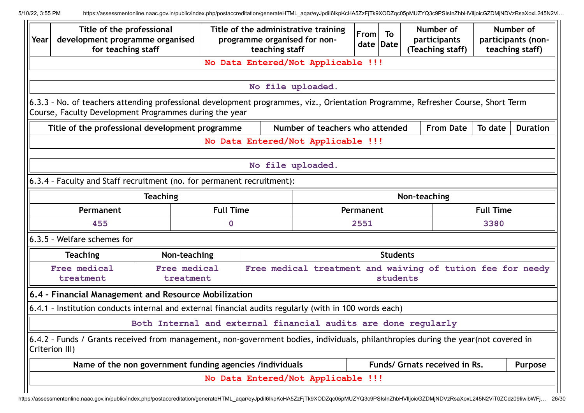| Year | Title of the professional<br>development programme organised<br>for teaching staff |                                                          |                  | Title of the administrative training<br>programme organised for non-<br>teaching staff                                             | From<br>date Date | To       |      | Number of<br>participants<br>(Teaching staff) |                  | Number of<br>participants (non-<br>teaching staff) |
|------|------------------------------------------------------------------------------------|----------------------------------------------------------|------------------|------------------------------------------------------------------------------------------------------------------------------------|-------------------|----------|------|-----------------------------------------------|------------------|----------------------------------------------------|
|      |                                                                                    |                                                          |                  | No Data Entered/Not Applicable !!!                                                                                                 |                   |          |      |                                               |                  |                                                    |
|      |                                                                                    |                                                          |                  | No file uploaded.                                                                                                                  |                   |          |      |                                               |                  |                                                    |
|      | Course, Faculty Development Programmes during the year                             |                                                          |                  | 6.3.3 - No. of teachers attending professional development programmes, viz., Orientation Programme, Refresher Course, Short Term   |                   |          |      |                                               |                  |                                                    |
|      | Title of the professional development programme                                    |                                                          |                  | Number of teachers who attended                                                                                                    |                   |          |      | <b>From Date</b>                              | To date          | <b>Duration</b>                                    |
|      |                                                                                    |                                                          |                  | No Data Entered/Not Applicable !!!                                                                                                 |                   |          |      |                                               |                  |                                                    |
|      |                                                                                    |                                                          |                  | No file uploaded.                                                                                                                  |                   |          |      |                                               |                  |                                                    |
|      | 6.3.4 - Faculty and Staff recruitment (no. for permanent recruitment):             |                                                          |                  |                                                                                                                                    |                   |          |      |                                               |                  |                                                    |
|      |                                                                                    | <b>Teaching</b>                                          |                  |                                                                                                                                    | Non-teaching      |          |      |                                               |                  |                                                    |
|      | Permanent                                                                          |                                                          | <b>Full Time</b> |                                                                                                                                    | Permanent         |          |      |                                               | <b>Full Time</b> |                                                    |
|      | 455                                                                                |                                                          | 0                | 2551                                                                                                                               |                   |          | 3380 |                                               |                  |                                                    |
|      | 6.3.5 - Welfare schemes for                                                        |                                                          |                  |                                                                                                                                    |                   |          |      |                                               |                  |                                                    |
|      | <b>Teaching</b>                                                                    | Non-teaching                                             |                  | <b>Students</b>                                                                                                                    |                   |          |      |                                               |                  |                                                    |
|      | Free medical<br>treatment                                                          | Free medical<br>treatment                                |                  | Free medical treatment and waiving of tution fee for needy                                                                         |                   | students |      |                                               |                  |                                                    |
|      | 6.4 - Financial Management and Resource Mobilization                               |                                                          |                  |                                                                                                                                    |                   |          |      |                                               |                  |                                                    |
|      |                                                                                    |                                                          |                  | 6.4.1 - Institution conducts internal and external financial audits regularly (with in 100 words each)                             |                   |          |      |                                               |                  |                                                    |
|      |                                                                                    |                                                          |                  | Both Internal and external financial audits are done regularly                                                                     |                   |          |      |                                               |                  |                                                    |
|      | Criterion III)                                                                     |                                                          |                  | 6.4.2 - Funds / Grants received from management, non-government bodies, individuals, philanthropies during the year(not covered in |                   |          |      |                                               |                  |                                                    |
|      |                                                                                    | Name of the non government funding agencies /individuals |                  |                                                                                                                                    |                   |          |      | Funds/ Grnats received in Rs.                 |                  | Purpose                                            |
|      |                                                                                    |                                                          |                  | No Data Entered/Not Applicable !!!                                                                                                 |                   |          |      |                                               |                  |                                                    |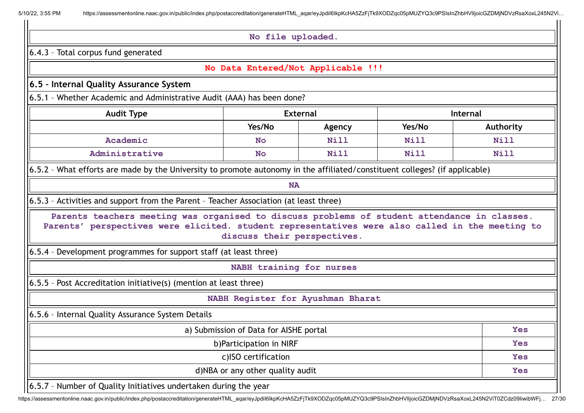**No file uploaded.**

6.4.3 – Total corpus fund generated

|  |  | No Data Entered/Not Applicable !!! |  |  |
|--|--|------------------------------------|--|--|
|--|--|------------------------------------|--|--|

#### **6.5 – Internal Quality Assurance System**

6.5.1 – Whether Academic and Administrative Audit (AAA) has been done?

| <b>Audit Type</b> |           | <b>External</b> | <b>Internal</b> |             |  |
|-------------------|-----------|-----------------|-----------------|-------------|--|
|                   | Yes/No    | Agency          | Yes/No          | Authority   |  |
| Academic          | <b>No</b> | <b>Nill</b>     | <b>Nill</b>     | <b>Nill</b> |  |
| Administrative    | <b>No</b> | <b>Nill</b>     | <b>Nill</b>     | <b>Nill</b> |  |

6.5.2 – What efforts are made by the University to promote autonomy in the affiliated/constituent colleges? (if applicable)

**NA**

6.5.3 – Activities and support from the Parent – Teacher Association (at least three)

**Parents teachers meeting was organised to discuss problems of student attendance in classes. Parents' perspectives were elicited. student representatives were also called in the meeting to discuss their perspectives.**

6.5.4 – Development programmes for support staff (at least three)

**NABH training for nurses**

6.5.5 – Post Accreditation initiative(s) (mention at least three)

**NABH Register for Ayushman Bharat**

6.5.6 – Internal Quality Assurance System Details

| a) Submission of Data for AISHE portal                            | <b>Yes</b> |
|-------------------------------------------------------------------|------------|
| b) Participation in NIRF                                          | <b>Yes</b> |
| c)ISO certification                                               | <b>Yes</b> |
| d)NBA or any other quality audit                                  | <b>Yes</b> |
| [6.5.7 - Number of Quality Initiatives undertaken during the year |            |

https://assessmentonline.naac.gov.in/public/index.php/postaccreditation/generateHTML\_aqar/eyJpdiI6IkpKcHA5ZzFjTk9XODZqc05pMUZYQ3c9PSIsInZhbHVIIjoicGZDMjNDVzRsaXoxL245N2ViT0ZCdz09IiwibWFj… 27/30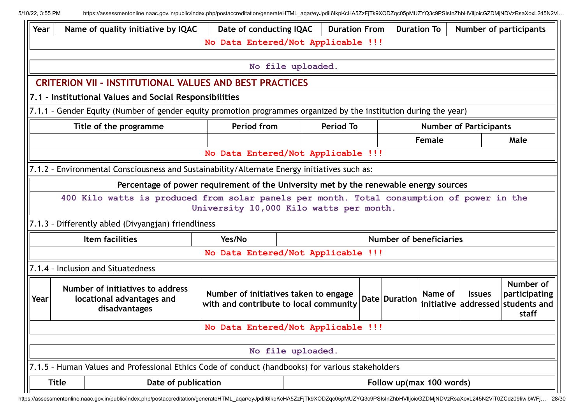| Year | Name of quality initiative by IQAC                                                                                | Date of conducting IQAC                                                         |                   | <b>Duration From</b> |  | <b>Duration To</b>             |         |                               | <b>Number of participants</b>                                            |
|------|-------------------------------------------------------------------------------------------------------------------|---------------------------------------------------------------------------------|-------------------|----------------------|--|--------------------------------|---------|-------------------------------|--------------------------------------------------------------------------|
|      | No Data Entered/Not Applicable !!!                                                                                |                                                                                 |                   |                      |  |                                |         |                               |                                                                          |
|      |                                                                                                                   |                                                                                 |                   |                      |  |                                |         |                               |                                                                          |
|      | No file uploaded.                                                                                                 |                                                                                 |                   |                      |  |                                |         |                               |                                                                          |
|      | <b>CRITERION VII - INSTITUTIONAL VALUES AND BEST PRACTICES</b>                                                    |                                                                                 |                   |                      |  |                                |         |                               |                                                                          |
|      | 7.1 - Institutional Values and Social Responsibilities                                                            |                                                                                 |                   |                      |  |                                |         |                               |                                                                          |
|      | 7.1.1 - Gender Equity (Number of gender equity promotion programmes organized by the institution during the year) |                                                                                 |                   |                      |  |                                |         |                               |                                                                          |
|      | Title of the programme                                                                                            | Period from                                                                     |                   | <b>Period To</b>     |  |                                |         | <b>Number of Participants</b> |                                                                          |
|      |                                                                                                                   |                                                                                 |                   |                      |  |                                | Female  |                               | Male                                                                     |
|      |                                                                                                                   | No Data Entered/Not Applicable !!!                                              |                   |                      |  |                                |         |                               |                                                                          |
|      | 7.1.2 - Environmental Consciousness and Sustainability/Alternate Energy initiatives such as:                      |                                                                                 |                   |                      |  |                                |         |                               |                                                                          |
|      | Percentage of power requirement of the University met by the renewable energy sources                             |                                                                                 |                   |                      |  |                                |         |                               |                                                                          |
|      | 400 Kilo watts is produced from solar panels per month. Total consumption of power in the                         | University 10,000 Kilo watts per month.                                         |                   |                      |  |                                |         |                               |                                                                          |
|      | 7.1.3 - Differently abled (Divyangjan) friendliness                                                               |                                                                                 |                   |                      |  |                                |         |                               |                                                                          |
|      | Item facilities                                                                                                   | Yes/No                                                                          |                   |                      |  | <b>Number of beneficiaries</b> |         |                               |                                                                          |
|      |                                                                                                                   | No Data Entered/Not Applicable !!!                                              |                   |                      |  |                                |         |                               |                                                                          |
|      | 7.1.4 - Inclusion and Situatedness                                                                                |                                                                                 |                   |                      |  |                                |         |                               |                                                                          |
| Year | Number of initiatives to address<br>locational advantages and<br>disadvantages                                    | Number of initiatives taken to engage<br>with and contribute to local community |                   |                      |  | Date Duration                  | Name of | <b>Issues</b>                 | Number of<br>participating<br>initiative addressed students and<br>staff |
|      |                                                                                                                   | No Data Entered/Not Applicable !!!                                              |                   |                      |  |                                |         |                               |                                                                          |
|      |                                                                                                                   |                                                                                 |                   |                      |  |                                |         |                               |                                                                          |
|      |                                                                                                                   |                                                                                 | No file uploaded. |                      |  |                                |         |                               |                                                                          |
|      | 7.1.5 - Human Values and Professional Ethics Code of conduct (handbooks) for various stakeholders                 |                                                                                 |                   |                      |  |                                |         |                               |                                                                          |
|      | Date of publication<br><b>Title</b>                                                                               |                                                                                 |                   |                      |  | Follow up(max 100 words)       |         |                               |                                                                          |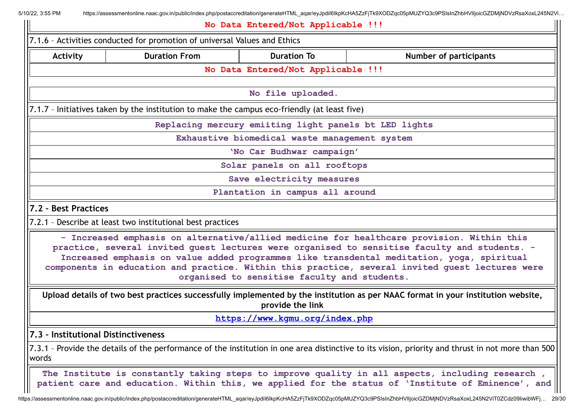| <b>Activity</b>                     | <b>Duration From</b>                                                                         | <b>Duration To</b>                                    | <b>Number of participants</b>                                                                                                                                                                                                                                                                                                                                                                                                             |
|-------------------------------------|----------------------------------------------------------------------------------------------|-------------------------------------------------------|-------------------------------------------------------------------------------------------------------------------------------------------------------------------------------------------------------------------------------------------------------------------------------------------------------------------------------------------------------------------------------------------------------------------------------------------|
|                                     |                                                                                              | No Data Entered/Not Applicable !!!                    |                                                                                                                                                                                                                                                                                                                                                                                                                                           |
|                                     |                                                                                              | No file uploaded.                                     |                                                                                                                                                                                                                                                                                                                                                                                                                                           |
|                                     | 7.1.7 - Initiatives taken by the institution to make the campus eco-friendly (at least five) |                                                       |                                                                                                                                                                                                                                                                                                                                                                                                                                           |
|                                     |                                                                                              | Replacing mercury emiiting light panels bt LED lights |                                                                                                                                                                                                                                                                                                                                                                                                                                           |
|                                     |                                                                                              | Exhaustive biomedical waste management system         |                                                                                                                                                                                                                                                                                                                                                                                                                                           |
|                                     |                                                                                              | 'No Car Budhwar campaign'                             |                                                                                                                                                                                                                                                                                                                                                                                                                                           |
|                                     |                                                                                              | Solar panels on all rooftops                          |                                                                                                                                                                                                                                                                                                                                                                                                                                           |
|                                     |                                                                                              | Save electricity measures                             |                                                                                                                                                                                                                                                                                                                                                                                                                                           |
|                                     |                                                                                              | Plantation in campus all around                       |                                                                                                                                                                                                                                                                                                                                                                                                                                           |
| 7.2 - Best Practices                |                                                                                              |                                                       |                                                                                                                                                                                                                                                                                                                                                                                                                                           |
|                                     | 7.2.1 - Describe at least two institutional best practices                                   |                                                       |                                                                                                                                                                                                                                                                                                                                                                                                                                           |
|                                     |                                                                                              |                                                       | - Increased emphasis on alternative/allied medicine for healthcare provision. Within this<br>practice, several invited guest lectures were organised to sensitise faculty and students. -<br>Increased emphasis on value added programmes like transdental meditation, yoga, spiritual<br>components in education and practice. Within this practice, several invited guest lectures were<br>organised to sensitise faculty and students. |
|                                     |                                                                                              |                                                       |                                                                                                                                                                                                                                                                                                                                                                                                                                           |
|                                     |                                                                                              | provide the link                                      | Upload details of two best practices successfully implemented by the institution as per NAAC format in your institution website,                                                                                                                                                                                                                                                                                                          |
|                                     |                                                                                              | https://www.kgmu.org/index.php                        |                                                                                                                                                                                                                                                                                                                                                                                                                                           |
| 7.3 - Institutional Distinctiveness |                                                                                              |                                                       |                                                                                                                                                                                                                                                                                                                                                                                                                                           |